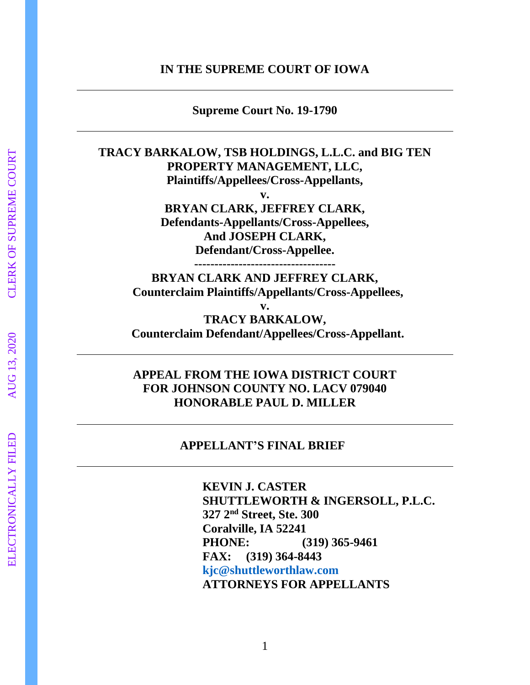#### **IN THE SUPREME COURT OF IOWA**

**Supreme Court No. 19-1790**

### **TRACY BARKALOW, TSB HOLDINGS, L.L.C. and BIG TEN PROPERTY MANAGEMENT, LLC, Plaintiffs/Appellees/Cross-Appellants,**

**v. BRYAN CLARK, JEFFREY CLARK, Defendants-Appellants/Cross-Appellees, And JOSEPH CLARK, Defendant/Cross-Appellee.**

**-----------------------------------**

**BRYAN CLARK AND JEFFREY CLARK, Counterclaim Plaintiffs/Appellants/Cross-Appellees,**

**v. TRACY BARKALOW, Counterclaim Defendant/Appellees/Cross-Appellant.**

## **APPEAL FROM THE IOWA DISTRICT COURT FOR JOHNSON COUNTY NO. LACV 079040 HONORABLE PAUL D. MILLER**

#### **APPELLANT'S FINAL BRIEF**

**KEVIN J. CASTER SHUTTLEWORTH & INGERSOLL, P.L.C. 327 2nd Street, Ste. 300 Coralville, IA 52241 PHONE: (319) 365-9461 FAX: (319) 364-8443 [kjc@shuttleworthlaw.com](mailto:kjc@shuttleworthlaw.com) ATTORNEYS FOR APPELLANTS**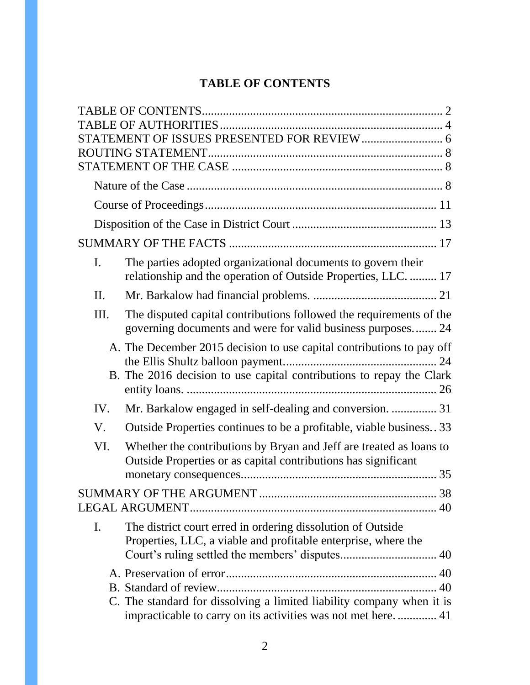# **TABLE OF CONTENTS**

<span id="page-1-0"></span>

| Ι.             | The parties adopted organizational documents to govern their<br>relationship and the operation of Outside Properties, LLC.  17                |  |  |  |
|----------------|-----------------------------------------------------------------------------------------------------------------------------------------------|--|--|--|
| II.            |                                                                                                                                               |  |  |  |
| Ш.             | The disputed capital contributions followed the requirements of the<br>governing documents and were for valid business purposes 24            |  |  |  |
|                | A. The December 2015 decision to use capital contributions to pay off<br>B. The 2016 decision to use capital contributions to repay the Clark |  |  |  |
| IV.            | Mr. Barkalow engaged in self-dealing and conversion.  31                                                                                      |  |  |  |
| V.             | Outside Properties continues to be a profitable, viable business. 33                                                                          |  |  |  |
| VI.            | Whether the contributions by Bryan and Jeff are treated as loans to<br>Outside Properties or as capital contributions has significant         |  |  |  |
|                |                                                                                                                                               |  |  |  |
| $\mathbf{I}$ . | The district court erred in ordering dissolution of Outside<br>Properties, LLC, a viable and profitable enterprise, where the                 |  |  |  |
|                | C. The standard for dissolving a limited liability company when it is<br>impracticable to carry on its activities was not met here 41         |  |  |  |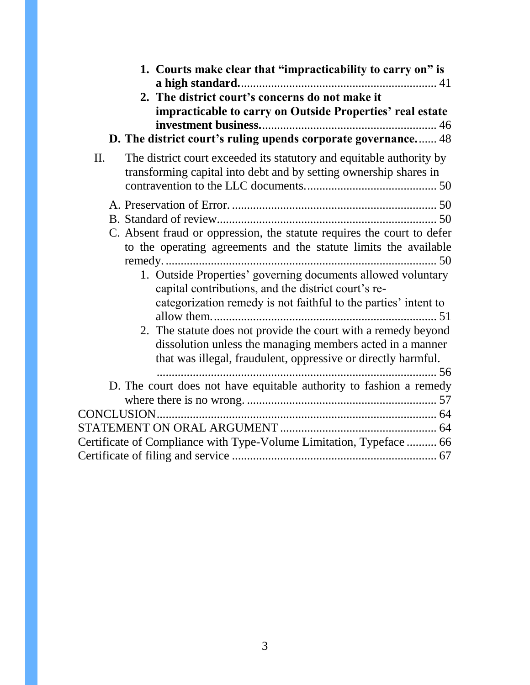| 1. Courts make clear that "impracticability to carry on" is<br>2. The district court's concerns do not make it                                                                                                                                                                                                                                                                         |
|----------------------------------------------------------------------------------------------------------------------------------------------------------------------------------------------------------------------------------------------------------------------------------------------------------------------------------------------------------------------------------------|
| impracticable to carry on Outside Properties' real estate                                                                                                                                                                                                                                                                                                                              |
| D. The district court's ruling upends corporate governance 48                                                                                                                                                                                                                                                                                                                          |
| The district court exceeded its statutory and equitable authority by<br>II.<br>transforming capital into debt and by setting ownership shares in                                                                                                                                                                                                                                       |
| C. Absent fraud or oppression, the statute requires the court to defer<br>to the operating agreements and the statute limits the available                                                                                                                                                                                                                                             |
| 1. Outside Properties' governing documents allowed voluntary<br>capital contributions, and the district court's re-<br>categorization remedy is not faithful to the parties' intent to<br>2. The statute does not provide the court with a remedy beyond<br>dissolution unless the managing members acted in a manner<br>that was illegal, fraudulent, oppressive or directly harmful. |
| D. The court does not have equitable authority to fashion a remedy                                                                                                                                                                                                                                                                                                                     |
|                                                                                                                                                                                                                                                                                                                                                                                        |
| Certificate of Compliance with Type-Volume Limitation, Typeface  66                                                                                                                                                                                                                                                                                                                    |
|                                                                                                                                                                                                                                                                                                                                                                                        |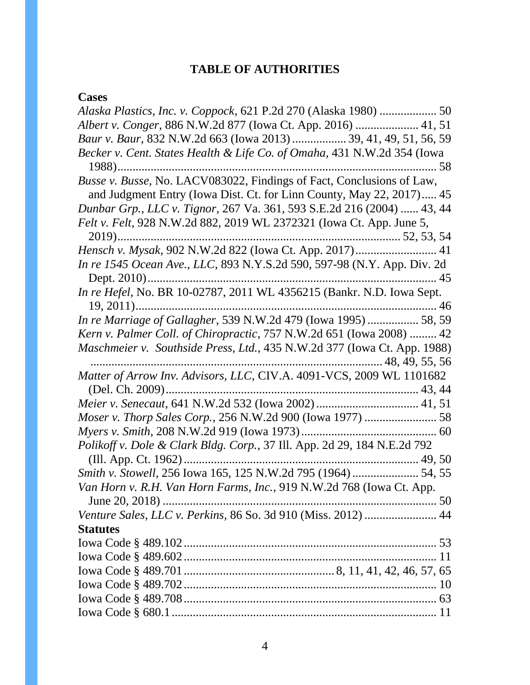# **TABLE OF AUTHORITIES**

# <span id="page-3-0"></span>**Cases**

| Albert v. Conger, 886 N.W.2d 877 (Iowa Ct. App. 2016)  41, 51            |
|--------------------------------------------------------------------------|
| Baur v. Baur, 832 N.W.2d 663 (Iowa 2013)  39, 41, 49, 51, 56, 59         |
| Becker v. Cent. States Health & Life Co. of Omaha, 431 N.W.2d 354 (Iowa  |
|                                                                          |
| Busse v. Busse, No. LACV083022, Findings of Fact, Conclusions of Law,    |
| and Judgment Entry (Iowa Dist. Ct. for Linn County, May 22, 2017) 45     |
| Dunbar Grp., LLC v. Tignor, 267 Va. 361, 593 S.E.2d 216 (2004)  43, 44   |
| Felt v. Felt, 928 N.W.2d 882, 2019 WL 2372321 (Iowa Ct. App. June 5,     |
|                                                                          |
|                                                                          |
| In re 1545 Ocean Ave., LLC, 893 N.Y.S.2d 590, 597-98 (N.Y. App. Div. 2d  |
|                                                                          |
| In re Hefel, No. BR 10-02787, 2011 WL 4356215 (Bankr. N.D. Iowa Sept.    |
|                                                                          |
| In re Marriage of Gallagher, 539 N.W.2d 479 (Iowa 1995)  58, 59          |
| Kern v. Palmer Coll. of Chiropractic, 757 N.W.2d 651 (Iowa 2008)  42     |
| Maschmeier v. Southside Press, Ltd., 435 N.W.2d 377 (Iowa Ct. App. 1988) |
|                                                                          |
| Matter of Arrow Inv. Advisors, LLC, CIV.A. 4091-VCS, 2009 WL 1101682     |
|                                                                          |
|                                                                          |
|                                                                          |
|                                                                          |
| Polikoff v. Dole & Clark Bldg. Corp., 37 Ill. App. 2d 29, 184 N.E.2d 792 |
|                                                                          |
| Smith v. Stowell, 256 Iowa 165, 125 N.W.2d 795 (1964)  54, 55            |
| Van Horn v. R.H. Van Horn Farms, Inc., 919 N.W.2d 768 (Iowa Ct. App.     |
|                                                                          |
| Venture Sales, LLC v. Perkins, 86 So. 3d 910 (Miss. 2012)  44            |
| <b>Statutes</b>                                                          |
|                                                                          |
|                                                                          |
|                                                                          |
|                                                                          |
|                                                                          |
|                                                                          |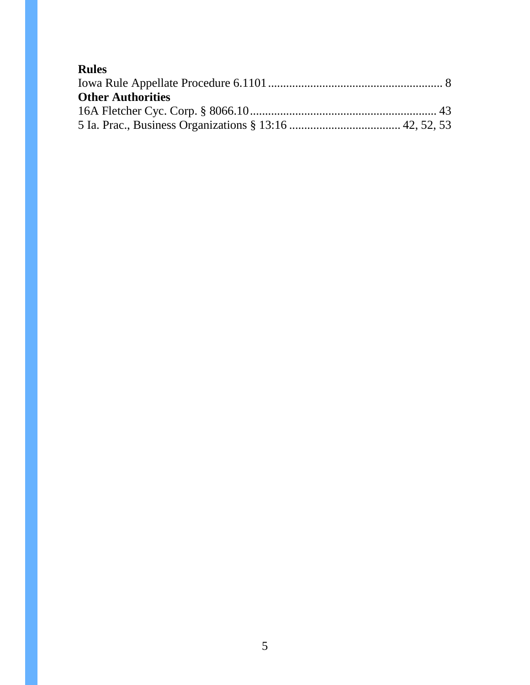| <b>Rules</b>             |  |
|--------------------------|--|
|                          |  |
| <b>Other Authorities</b> |  |
|                          |  |
|                          |  |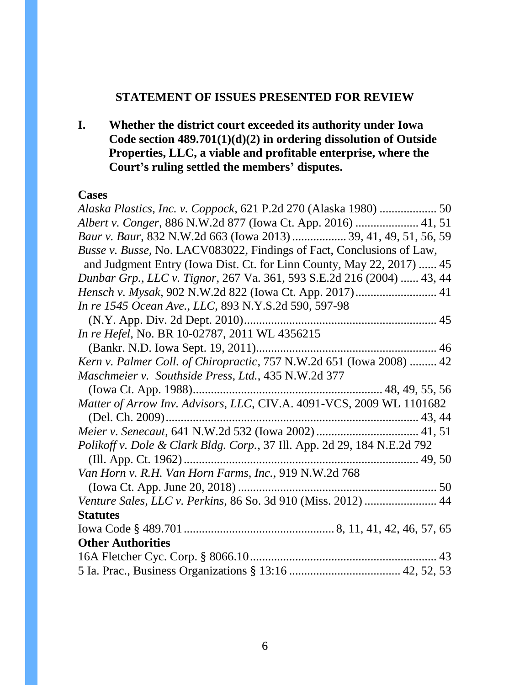## **STATEMENT OF ISSUES PRESENTED FOR REVIEW**

<span id="page-5-0"></span>**I. Whether the district court exceeded its authority under Iowa Code section 489.701(1)(d)(2) in ordering dissolution of Outside Properties, LLC, a viable and profitable enterprise, where the Court's ruling settled the members' disputes.** 

#### **Cases**

| Albert v. Conger, 886 N.W.2d 877 (Iowa Ct. App. 2016)  41, 51            |  |
|--------------------------------------------------------------------------|--|
| Baur v. Baur, 832 N.W.2d 663 (Iowa 2013)  39, 41, 49, 51, 56, 59         |  |
| Busse v. Busse, No. LACV083022, Findings of Fact, Conclusions of Law,    |  |
| and Judgment Entry (Iowa Dist. Ct. for Linn County, May 22, 2017)  45    |  |
| Dunbar Grp., LLC v. Tignor, 267 Va. 361, 593 S.E.2d 216 (2004)  43, 44   |  |
|                                                                          |  |
| In re 1545 Ocean Ave., LLC, 893 N.Y.S.2d 590, 597-98                     |  |
|                                                                          |  |
| In re Hefel, No. BR 10-02787, 2011 WL 4356215                            |  |
|                                                                          |  |
| Kern v. Palmer Coll. of Chiropractic, 757 N.W.2d 651 (Iowa 2008)  42     |  |
| Maschmeier v. Southside Press, Ltd., 435 N.W.2d 377                      |  |
|                                                                          |  |
| Matter of Arrow Inv. Advisors, LLC, CIV.A. 4091-VCS, 2009 WL 1101682     |  |
|                                                                          |  |
|                                                                          |  |
| Polikoff v. Dole & Clark Bldg. Corp., 37 Ill. App. 2d 29, 184 N.E.2d 792 |  |
|                                                                          |  |
| Van Horn v. R.H. Van Horn Farms, Inc., 919 N.W.2d 768                    |  |
|                                                                          |  |
| Venture Sales, LLC v. Perkins, 86 So. 3d 910 (Miss. 2012)  44            |  |
| <b>Statutes</b>                                                          |  |
|                                                                          |  |
| <b>Other Authorities</b>                                                 |  |
|                                                                          |  |
|                                                                          |  |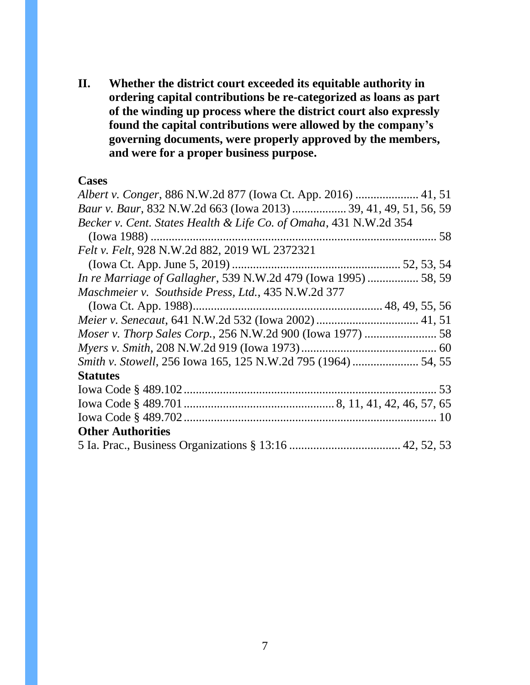**II. Whether the district court exceeded its equitable authority in ordering capital contributions be re-categorized as loans as part of the winding up process where the district court also expressly found the capital contributions were allowed by the company's governing documents, were properly approved by the members, and were for a proper business purpose.**

#### **Cases**

| Albert v. Conger, 886 N.W.2d 877 (Iowa Ct. App. 2016)  41, 51          |  |
|------------------------------------------------------------------------|--|
| Baur v. Baur, 832 N.W.2d 663 (Iowa 2013)  39, 41, 49, 51, 56, 59       |  |
| Becker v. Cent. States Health & Life Co. of Omaha, 431 N.W.2d 354      |  |
|                                                                        |  |
| Felt v. Felt, 928 N.W.2d 882, 2019 WL 2372321                          |  |
|                                                                        |  |
| <i>In re Marriage of Gallagher, 539 N.W.2d 479 (Iowa 1995)  58, 59</i> |  |
| Maschmeier v. Southside Press, Ltd., 435 N.W.2d 377                    |  |
|                                                                        |  |
|                                                                        |  |
|                                                                        |  |
|                                                                        |  |
|                                                                        |  |
| <b>Statutes</b>                                                        |  |
|                                                                        |  |
|                                                                        |  |
|                                                                        |  |
| <b>Other Authorities</b>                                               |  |
|                                                                        |  |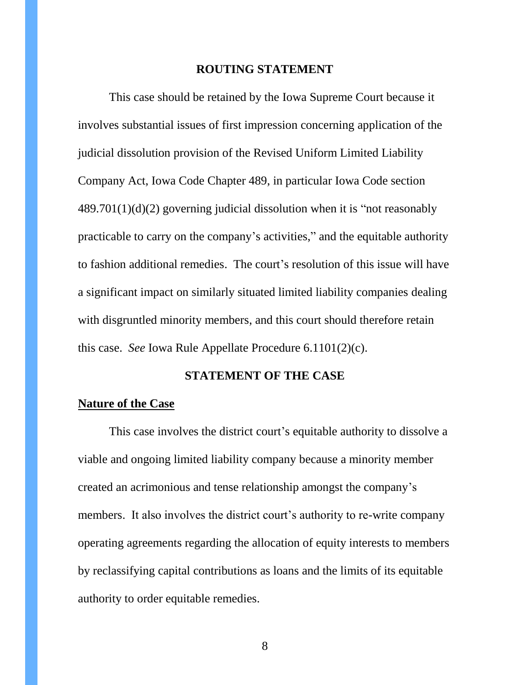#### **ROUTING STATEMENT**

<span id="page-7-0"></span>This case should be retained by the Iowa Supreme Court because it involves substantial issues of first impression concerning application of the judicial dissolution provision of the Revised Uniform Limited Liability Company Act, Iowa Code Chapter 489, in particular Iowa Code section 489.701(1)(d)(2) governing judicial dissolution when it is "not reasonably practicable to carry on the company's activities," and the equitable authority to fashion additional remedies. The court's resolution of this issue will have a significant impact on similarly situated limited liability companies dealing with disgruntled minority members, and this court should therefore retain this case. *See* Iowa Rule Appellate Procedure 6.1101(2)(c).

### **STATEMENT OF THE CASE**

#### <span id="page-7-2"></span><span id="page-7-1"></span>**Nature of the Case**

This case involves the district court's equitable authority to dissolve a viable and ongoing limited liability company because a minority member created an acrimonious and tense relationship amongst the company's members. It also involves the district court's authority to re-write company operating agreements regarding the allocation of equity interests to members by reclassifying capital contributions as loans and the limits of its equitable authority to order equitable remedies.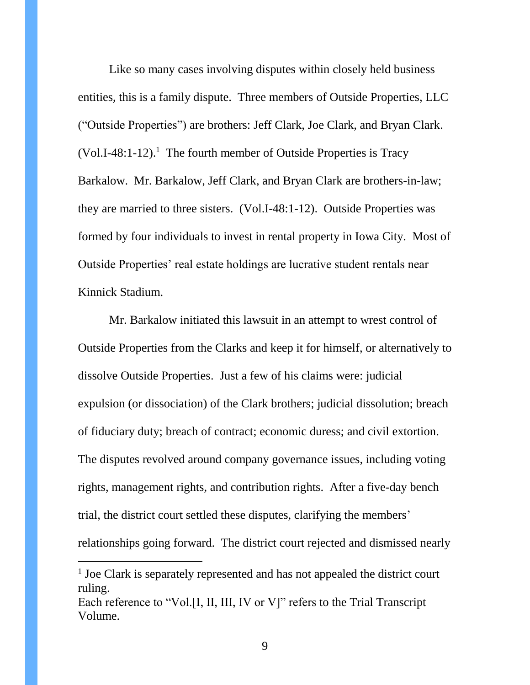Like so many cases involving disputes within closely held business entities, this is a family dispute. Three members of Outside Properties, LLC ("Outside Properties") are brothers: Jeff Clark, Joe Clark, and Bryan Clark.  $(Vol.I-48:1-12).$ <sup>1</sup> The fourth member of Outside Properties is Tracy Barkalow. Mr. Barkalow, Jeff Clark, and Bryan Clark are brothers-in-law; they are married to three sisters. (Vol.I-48:1-12). Outside Properties was formed by four individuals to invest in rental property in Iowa City. Most of Outside Properties' real estate holdings are lucrative student rentals near Kinnick Stadium.

Mr. Barkalow initiated this lawsuit in an attempt to wrest control of Outside Properties from the Clarks and keep it for himself, or alternatively to dissolve Outside Properties. Just a few of his claims were: judicial expulsion (or dissociation) of the Clark brothers; judicial dissolution; breach of fiduciary duty; breach of contract; economic duress; and civil extortion. The disputes revolved around company governance issues, including voting rights, management rights, and contribution rights. After a five-day bench trial, the district court settled these disputes, clarifying the members' relationships going forward. The district court rejected and dismissed nearly

 $\overline{a}$ 

<sup>&</sup>lt;sup>1</sup> Joe Clark is separately represented and has not appealed the district court ruling. Each reference to "Vol.[I, II, III, IV or V]" refers to the Trial Transcript Volume.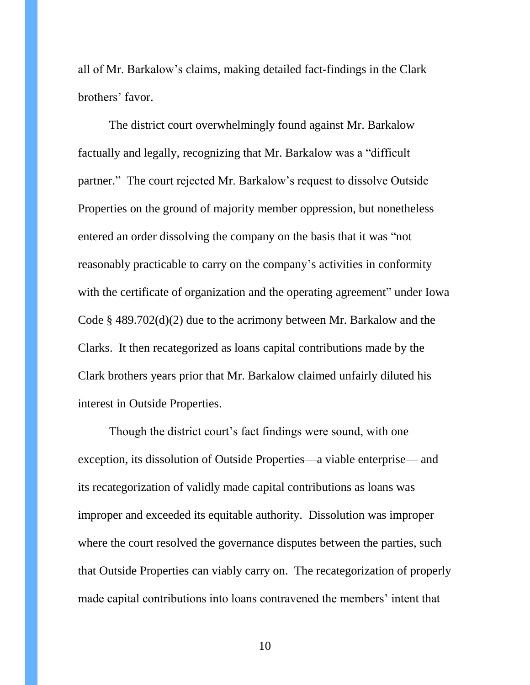all of Mr. Barkalow's claims, making detailed fact-findings in the Clark brothers' favor.

The district court overwhelmingly found against Mr. Barkalow factually and legally, recognizing that Mr. Barkalow was a "difficult partner." The court rejected Mr. Barkalow's request to dissolve Outside Properties on the ground of majority member oppression, but nonetheless entered an order dissolving the company on the basis that it was "not reasonably practicable to carry on the company's activities in conformity with the certificate of organization and the operating agreement" under Iowa Code § 489.702(d)(2) due to the acrimony between Mr. Barkalow and the Clarks. It then recategorized as loans capital contributions made by the Clark brothers years prior that Mr. Barkalow claimed unfairly diluted his interest in Outside Properties.

Though the district court's fact findings were sound, with one exception, its dissolution of Outside Properties—a viable enterprise— and its recategorization of validly made capital contributions as loans was improper and exceeded its equitable authority. Dissolution was improper where the court resolved the governance disputes between the parties, such that Outside Properties can viably carry on. The recategorization of properly made capital contributions into loans contravened the members' intent that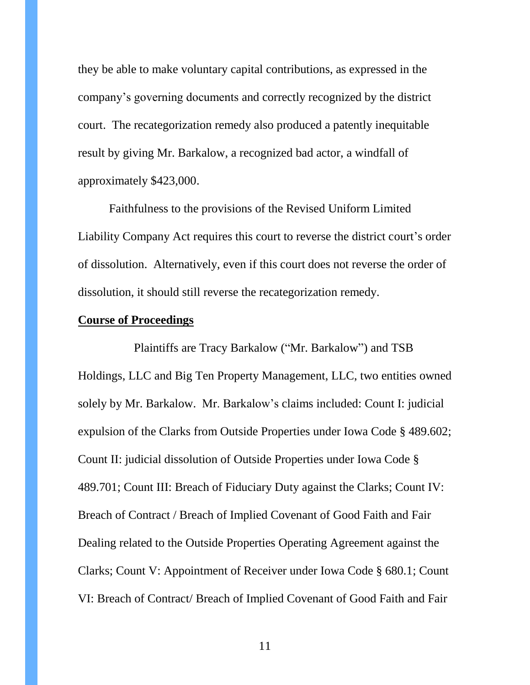they be able to make voluntary capital contributions, as expressed in the company's governing documents and correctly recognized by the district court. The recategorization remedy also produced a patently inequitable result by giving Mr. Barkalow, a recognized bad actor, a windfall of approximately \$423,000.

Faithfulness to the provisions of the Revised Uniform Limited Liability Company Act requires this court to reverse the district court's order of dissolution. Alternatively, even if this court does not reverse the order of dissolution, it should still reverse the recategorization remedy.

### <span id="page-10-0"></span>**Course of Proceedings**

Plaintiffs are Tracy Barkalow ("Mr. Barkalow") and TSB Holdings, LLC and Big Ten Property Management, LLC, two entities owned solely by Mr. Barkalow. Mr. Barkalow's claims included: Count I: judicial expulsion of the Clarks from Outside Properties under Iowa Code § 489.602; Count II: judicial dissolution of Outside Properties under Iowa Code § 489.701; Count III: Breach of Fiduciary Duty against the Clarks; Count IV: Breach of Contract / Breach of Implied Covenant of Good Faith and Fair Dealing related to the Outside Properties Operating Agreement against the Clarks; Count V: Appointment of Receiver under Iowa Code § 680.1; Count VI: Breach of Contract/ Breach of Implied Covenant of Good Faith and Fair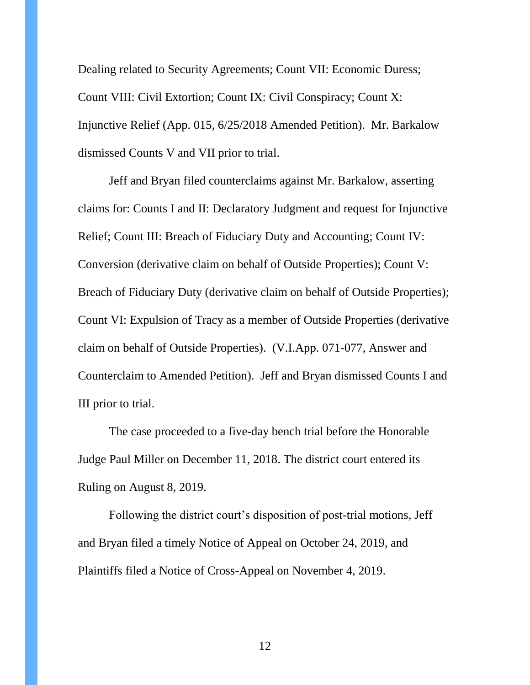Dealing related to Security Agreements; Count VII: Economic Duress; Count VIII: Civil Extortion; Count IX: Civil Conspiracy; Count X: Injunctive Relief (App. 015, 6/25/2018 Amended Petition). Mr. Barkalow dismissed Counts V and VII prior to trial.

Jeff and Bryan filed counterclaims against Mr. Barkalow, asserting claims for: Counts I and II: Declaratory Judgment and request for Injunctive Relief; Count III: Breach of Fiduciary Duty and Accounting; Count IV: Conversion (derivative claim on behalf of Outside Properties); Count V: Breach of Fiduciary Duty (derivative claim on behalf of Outside Properties); Count VI: Expulsion of Tracy as a member of Outside Properties (derivative claim on behalf of Outside Properties). (V.I.App. 071-077, Answer and Counterclaim to Amended Petition). Jeff and Bryan dismissed Counts I and III prior to trial.

The case proceeded to a five-day bench trial before the Honorable Judge Paul Miller on December 11, 2018. The district court entered its Ruling on August 8, 2019.

Following the district court's disposition of post-trial motions, Jeff and Bryan filed a timely Notice of Appeal on October 24, 2019, and Plaintiffs filed a Notice of Cross-Appeal on November 4, 2019.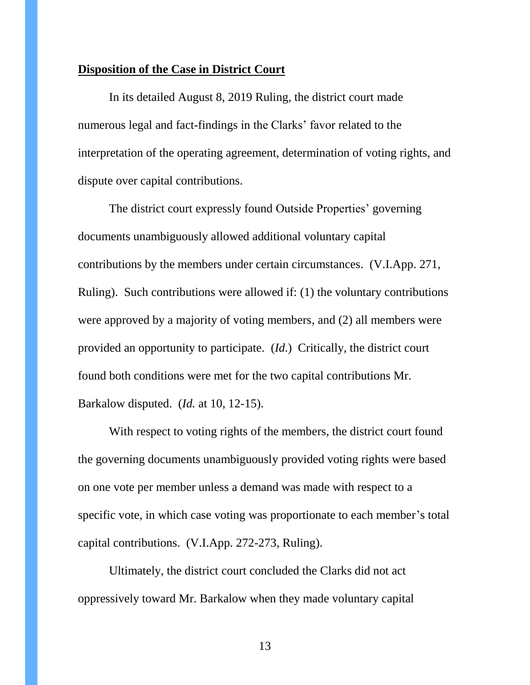#### <span id="page-12-0"></span>**Disposition of the Case in District Court**

In its detailed August 8, 2019 Ruling, the district court made numerous legal and fact-findings in the Clarks' favor related to the interpretation of the operating agreement, determination of voting rights, and dispute over capital contributions.

The district court expressly found Outside Properties' governing documents unambiguously allowed additional voluntary capital contributions by the members under certain circumstances. (V.I.App. 271, Ruling). Such contributions were allowed if: (1) the voluntary contributions were approved by a majority of voting members, and (2) all members were provided an opportunity to participate. (*Id*.) Critically, the district court found both conditions were met for the two capital contributions Mr. Barkalow disputed. (*Id.* at 10, 12-15).

With respect to voting rights of the members, the district court found the governing documents unambiguously provided voting rights were based on one vote per member unless a demand was made with respect to a specific vote, in which case voting was proportionate to each member's total capital contributions. (V.I.App. 272-273, Ruling).

Ultimately, the district court concluded the Clarks did not act oppressively toward Mr. Barkalow when they made voluntary capital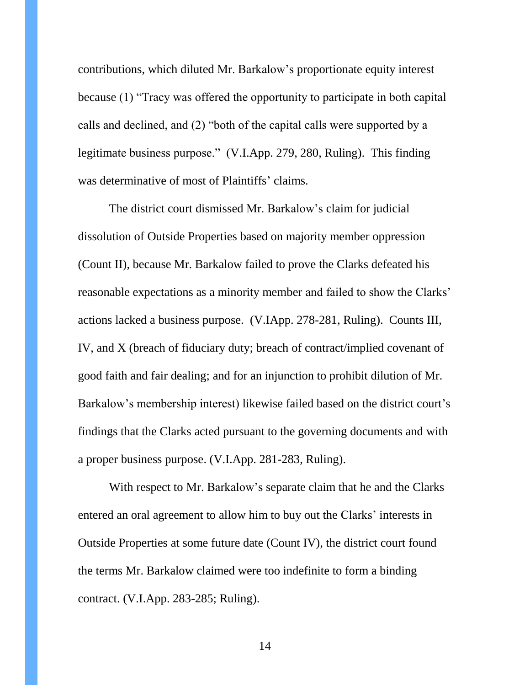contributions, which diluted Mr. Barkalow's proportionate equity interest because (1) "Tracy was offered the opportunity to participate in both capital calls and declined, and (2) "both of the capital calls were supported by a legitimate business purpose." (V.I.App. 279, 280, Ruling). This finding was determinative of most of Plaintiffs' claims.

The district court dismissed Mr. Barkalow's claim for judicial dissolution of Outside Properties based on majority member oppression (Count II), because Mr. Barkalow failed to prove the Clarks defeated his reasonable expectations as a minority member and failed to show the Clarks' actions lacked a business purpose. (V.IApp. 278-281, Ruling). Counts III, IV, and X (breach of fiduciary duty; breach of contract/implied covenant of good faith and fair dealing; and for an injunction to prohibit dilution of Mr. Barkalow's membership interest) likewise failed based on the district court's findings that the Clarks acted pursuant to the governing documents and with a proper business purpose. (V.I.App. 281-283, Ruling).

With respect to Mr. Barkalow's separate claim that he and the Clarks entered an oral agreement to allow him to buy out the Clarks' interests in Outside Properties at some future date (Count IV), the district court found the terms Mr. Barkalow claimed were too indefinite to form a binding contract. (V.I.App. 283-285; Ruling).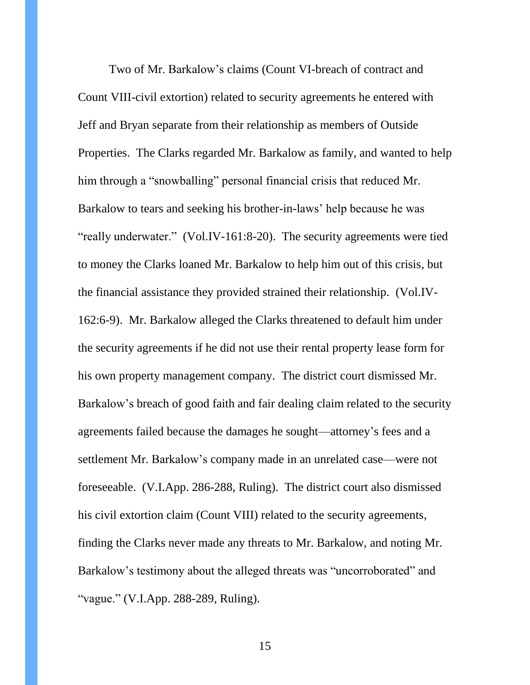Two of Mr. Barkalow's claims (Count VI-breach of contract and Count VIII-civil extortion) related to security agreements he entered with Jeff and Bryan separate from their relationship as members of Outside Properties. The Clarks regarded Mr. Barkalow as family, and wanted to help him through a "snowballing" personal financial crisis that reduced Mr. Barkalow to tears and seeking his brother-in-laws' help because he was "really underwater." (Vol.IV-161:8-20). The security agreements were tied to money the Clarks loaned Mr. Barkalow to help him out of this crisis, but the financial assistance they provided strained their relationship. (Vol.IV-162:6-9). Mr. Barkalow alleged the Clarks threatened to default him under the security agreements if he did not use their rental property lease form for his own property management company. The district court dismissed Mr. Barkalow's breach of good faith and fair dealing claim related to the security agreements failed because the damages he sought—attorney's fees and a settlement Mr. Barkalow's company made in an unrelated case—were not foreseeable. (V.I.App. 286-288, Ruling). The district court also dismissed his civil extortion claim (Count VIII) related to the security agreements, finding the Clarks never made any threats to Mr. Barkalow, and noting Mr. Barkalow's testimony about the alleged threats was "uncorroborated" and "vague." (V.I.App. 288-289, Ruling).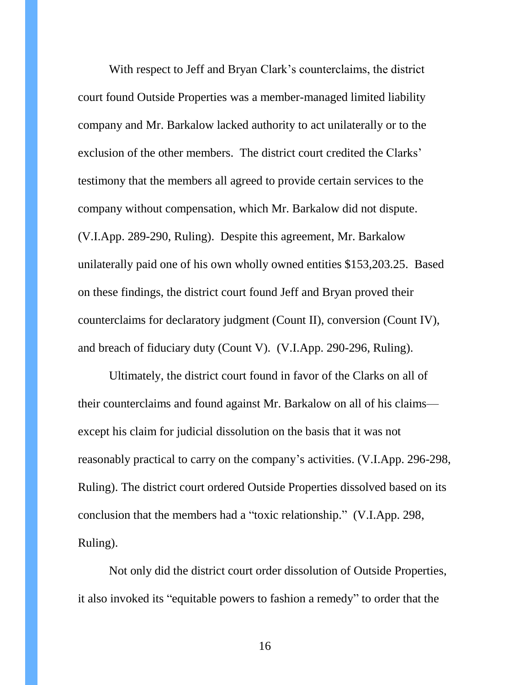With respect to Jeff and Bryan Clark's counterclaims, the district court found Outside Properties was a member-managed limited liability company and Mr. Barkalow lacked authority to act unilaterally or to the exclusion of the other members. The district court credited the Clarks' testimony that the members all agreed to provide certain services to the company without compensation, which Mr. Barkalow did not dispute. (V.I.App. 289-290, Ruling). Despite this agreement, Mr. Barkalow unilaterally paid one of his own wholly owned entities \$153,203.25. Based on these findings, the district court found Jeff and Bryan proved their counterclaims for declaratory judgment (Count II), conversion (Count IV), and breach of fiduciary duty (Count V). (V.I.App. 290-296, Ruling).

Ultimately, the district court found in favor of the Clarks on all of their counterclaims and found against Mr. Barkalow on all of his claims except his claim for judicial dissolution on the basis that it was not reasonably practical to carry on the company's activities. (V.I.App. 296-298, Ruling). The district court ordered Outside Properties dissolved based on its conclusion that the members had a "toxic relationship." (V.I.App. 298, Ruling).

Not only did the district court order dissolution of Outside Properties, it also invoked its "equitable powers to fashion a remedy" to order that the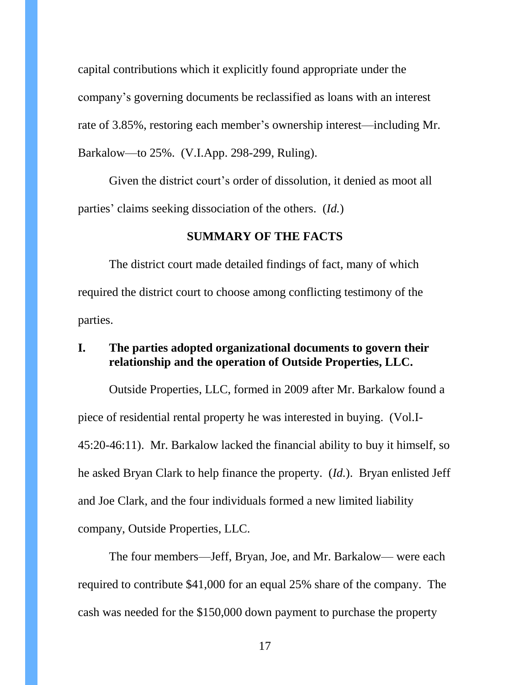capital contributions which it explicitly found appropriate under the company's governing documents be reclassified as loans with an interest rate of 3.85%, restoring each member's ownership interest—including Mr. Barkalow—to 25%. (V.I.App. 298-299, Ruling).

Given the district court's order of dissolution, it denied as moot all parties' claims seeking dissociation of the others. (*Id.*)

#### **SUMMARY OF THE FACTS**

<span id="page-16-0"></span>The district court made detailed findings of fact, many of which required the district court to choose among conflicting testimony of the parties.

### <span id="page-16-1"></span>**I. The parties adopted organizational documents to govern their relationship and the operation of Outside Properties, LLC.**

Outside Properties, LLC, formed in 2009 after Mr. Barkalow found a piece of residential rental property he was interested in buying. (Vol.I-45:20-46:11). Mr. Barkalow lacked the financial ability to buy it himself, so he asked Bryan Clark to help finance the property. (*Id.*). Bryan enlisted Jeff and Joe Clark, and the four individuals formed a new limited liability company, Outside Properties, LLC.

The four members—Jeff, Bryan, Joe, and Mr. Barkalow— were each required to contribute \$41,000 for an equal 25% share of the company. The cash was needed for the \$150,000 down payment to purchase the property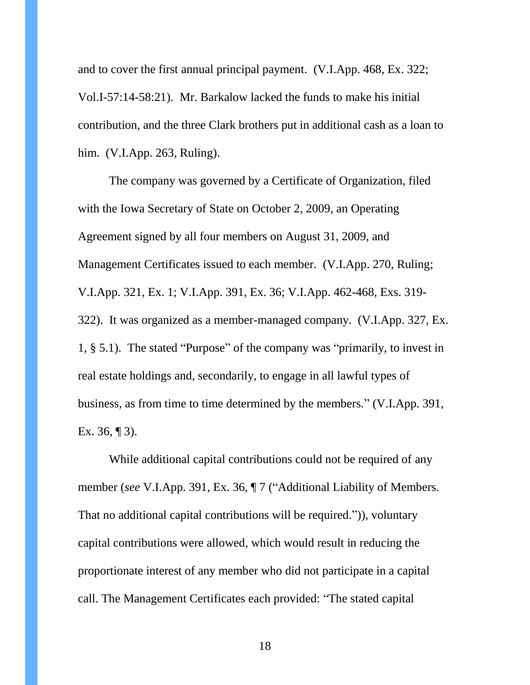and to cover the first annual principal payment. (V.I.App. 468, Ex. 322; Vol.I-57:14-58:21). Mr. Barkalow lacked the funds to make his initial contribution, and the three Clark brothers put in additional cash as a loan to him. (V.I.App. 263, Ruling).

The company was governed by a Certificate of Organization, filed with the Iowa Secretary of State on October 2, 2009, an Operating Agreement signed by all four members on August 31, 2009, and Management Certificates issued to each member. (V.I.App. 270, Ruling; V.I.App. 321, Ex. 1; V.I.App. 391, Ex. 36; V.I.App. 462-468, Exs. 319- 322). It was organized as a member-managed company. (V.I.App. 327, Ex. 1, § 5.1). The stated "Purpose" of the company was "primarily, to invest in real estate holdings and, secondarily, to engage in all lawful types of business, as from time to time determined by the members." (V.I.App. 391, Ex. 36,  $\P$ 3).

While additional capital contributions could not be required of any member (*see* V.I.App. 391, Ex. 36, ¶ 7 ("Additional Liability of Members. That no additional capital contributions will be required.")), voluntary capital contributions were allowed, which would result in reducing the proportionate interest of any member who did not participate in a capital call. The Management Certificates each provided: "The stated capital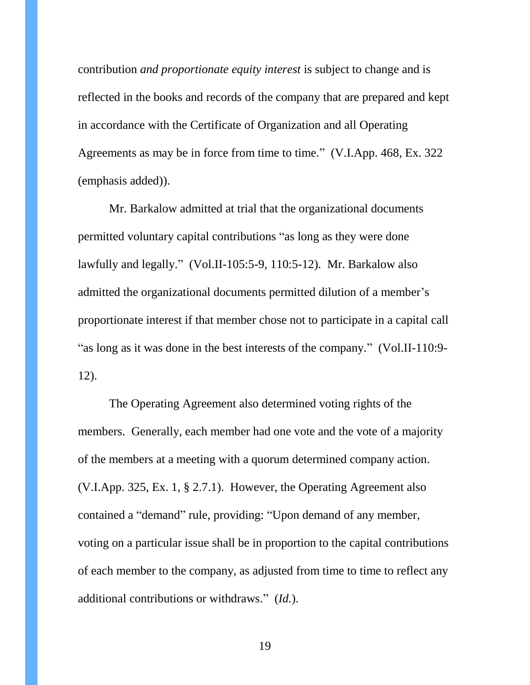contribution *and proportionate equity interest* is subject to change and is reflected in the books and records of the company that are prepared and kept in accordance with the Certificate of Organization and all Operating Agreements as may be in force from time to time." (V.I.App. 468, Ex. 322 (emphasis added)).

Mr. Barkalow admitted at trial that the organizational documents permitted voluntary capital contributions "as long as they were done lawfully and legally." (Vol.II-105:5-9, 110:5-12). Mr. Barkalow also admitted the organizational documents permitted dilution of a member's proportionate interest if that member chose not to participate in a capital call "as long as it was done in the best interests of the company." (Vol.II-110:9- 12).

The Operating Agreement also determined voting rights of the members. Generally, each member had one vote and the vote of a majority of the members at a meeting with a quorum determined company action. (V.I.App. 325, Ex. 1, § 2.7.1). However, the Operating Agreement also contained a "demand" rule, providing: "Upon demand of any member, voting on a particular issue shall be in proportion to the capital contributions of each member to the company, as adjusted from time to time to reflect any additional contributions or withdraws." (*Id.*).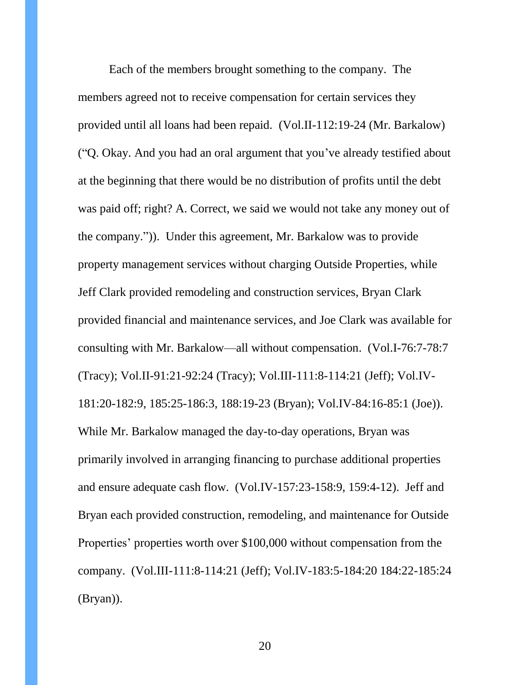Each of the members brought something to the company. The members agreed not to receive compensation for certain services they provided until all loans had been repaid. (Vol.II-112:19-24 (Mr. Barkalow) ("Q. Okay. And you had an oral argument that you've already testified about at the beginning that there would be no distribution of profits until the debt was paid off; right? A. Correct, we said we would not take any money out of the company.")). Under this agreement, Mr. Barkalow was to provide property management services without charging Outside Properties, while Jeff Clark provided remodeling and construction services, Bryan Clark provided financial and maintenance services, and Joe Clark was available for consulting with Mr. Barkalow—all without compensation. (Vol.I-76:7-78:7 (Tracy); Vol.II-91:21-92:24 (Tracy); Vol.III-111:8-114:21 (Jeff); Vol.IV-181:20-182:9, 185:25-186:3, 188:19-23 (Bryan); Vol.IV-84:16-85:1 (Joe)). While Mr. Barkalow managed the day-to-day operations, Bryan was primarily involved in arranging financing to purchase additional properties and ensure adequate cash flow. (Vol.IV-157:23-158:9, 159:4-12). Jeff and Bryan each provided construction, remodeling, and maintenance for Outside Properties' properties worth over \$100,000 without compensation from the company. (Vol.III-111:8-114:21 (Jeff); Vol.IV-183:5-184:20 184:22-185:24 (Bryan)).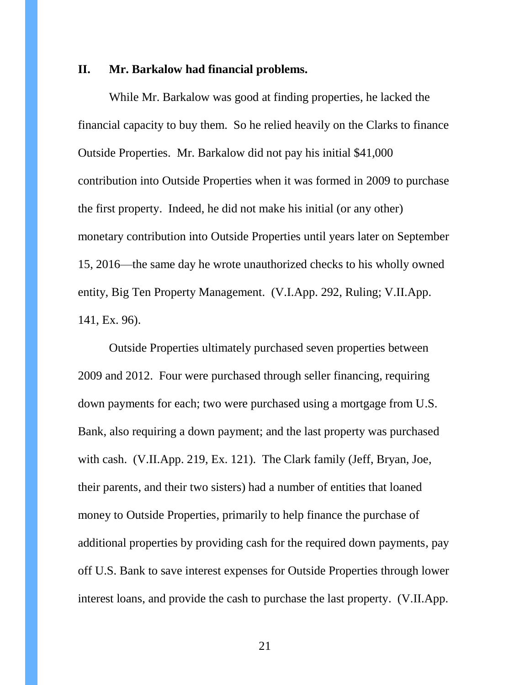#### <span id="page-20-0"></span>**II. Mr. Barkalow had financial problems.**

While Mr. Barkalow was good at finding properties, he lacked the financial capacity to buy them. So he relied heavily on the Clarks to finance Outside Properties. Mr. Barkalow did not pay his initial \$41,000 contribution into Outside Properties when it was formed in 2009 to purchase the first property. Indeed, he did not make his initial (or any other) monetary contribution into Outside Properties until years later on September 15, 2016—the same day he wrote unauthorized checks to his wholly owned entity, Big Ten Property Management. (V.I.App. 292, Ruling; V.II.App. 141, Ex. 96).

Outside Properties ultimately purchased seven properties between 2009 and 2012. Four were purchased through seller financing, requiring down payments for each; two were purchased using a mortgage from U.S. Bank, also requiring a down payment; and the last property was purchased with cash. (V.II.App. 219, Ex. 121). The Clark family (Jeff, Bryan, Joe, their parents, and their two sisters) had a number of entities that loaned money to Outside Properties, primarily to help finance the purchase of additional properties by providing cash for the required down payments, pay off U.S. Bank to save interest expenses for Outside Properties through lower interest loans, and provide the cash to purchase the last property. (V.II.App.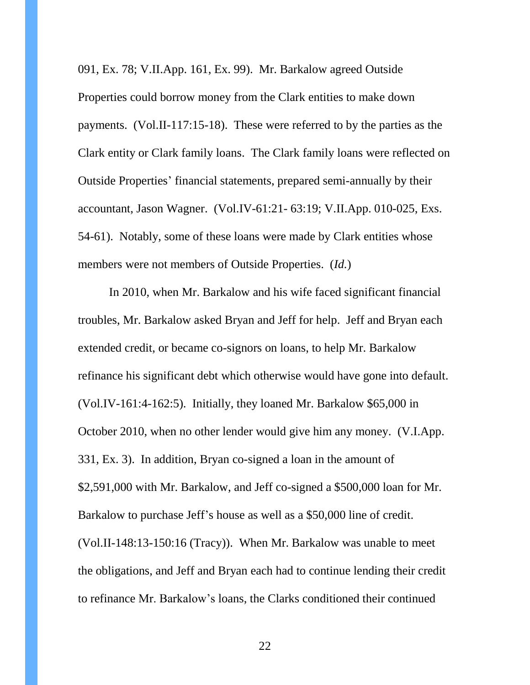091, Ex. 78; V.II.App. 161, Ex. 99). Mr. Barkalow agreed Outside Properties could borrow money from the Clark entities to make down payments. (Vol.II-117:15-18). These were referred to by the parties as the Clark entity or Clark family loans. The Clark family loans were reflected on Outside Properties' financial statements, prepared semi-annually by their accountant, Jason Wagner. (Vol.IV-61:21- 63:19; V.II.App. 010-025, Exs. 54-61). Notably, some of these loans were made by Clark entities whose members were not members of Outside Properties. (*Id.*)

In 2010, when Mr. Barkalow and his wife faced significant financial troubles, Mr. Barkalow asked Bryan and Jeff for help. Jeff and Bryan each extended credit, or became co-signors on loans, to help Mr. Barkalow refinance his significant debt which otherwise would have gone into default. (Vol.IV-161:4-162:5). Initially, they loaned Mr. Barkalow \$65,000 in October 2010, when no other lender would give him any money. (V.I.App. 331, Ex. 3). In addition, Bryan co-signed a loan in the amount of \$2,591,000 with Mr. Barkalow, and Jeff co-signed a \$500,000 loan for Mr. Barkalow to purchase Jeff's house as well as a \$50,000 line of credit. (Vol.II-148:13-150:16 (Tracy)). When Mr. Barkalow was unable to meet the obligations, and Jeff and Bryan each had to continue lending their credit to refinance Mr. Barkalow's loans, the Clarks conditioned their continued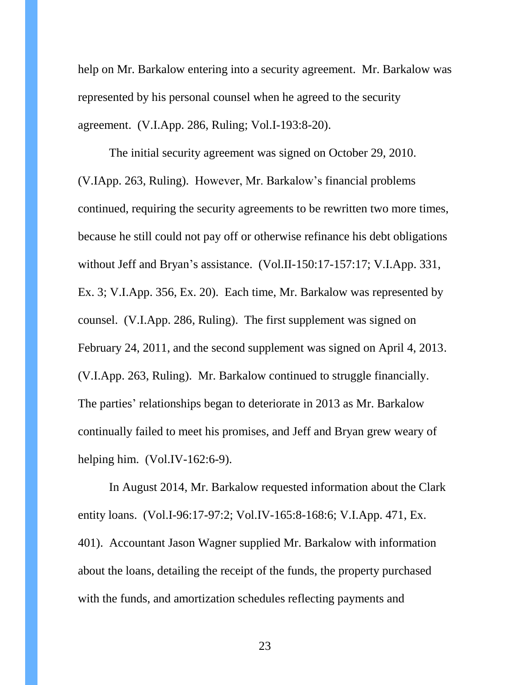help on Mr. Barkalow entering into a security agreement. Mr. Barkalow was represented by his personal counsel when he agreed to the security agreement. (V.I.App. 286, Ruling; Vol.I-193:8-20).

The initial security agreement was signed on October 29, 2010. (V.IApp. 263, Ruling). However, Mr. Barkalow's financial problems continued, requiring the security agreements to be rewritten two more times, because he still could not pay off or otherwise refinance his debt obligations without Jeff and Bryan's assistance. (Vol.II-150:17-157:17; V.I.App. 331, Ex. 3; V.I.App. 356, Ex. 20). Each time, Mr. Barkalow was represented by counsel. (V.I.App. 286, Ruling). The first supplement was signed on February 24, 2011, and the second supplement was signed on April 4, 2013. (V.I.App. 263, Ruling). Mr. Barkalow continued to struggle financially. The parties' relationships began to deteriorate in 2013 as Mr. Barkalow continually failed to meet his promises, and Jeff and Bryan grew weary of helping him. (Vol.IV-162:6-9).

In August 2014, Mr. Barkalow requested information about the Clark entity loans. (Vol.I-96:17-97:2; Vol.IV-165:8-168:6; V.I.App. 471, Ex. 401). Accountant Jason Wagner supplied Mr. Barkalow with information about the loans, detailing the receipt of the funds, the property purchased with the funds, and amortization schedules reflecting payments and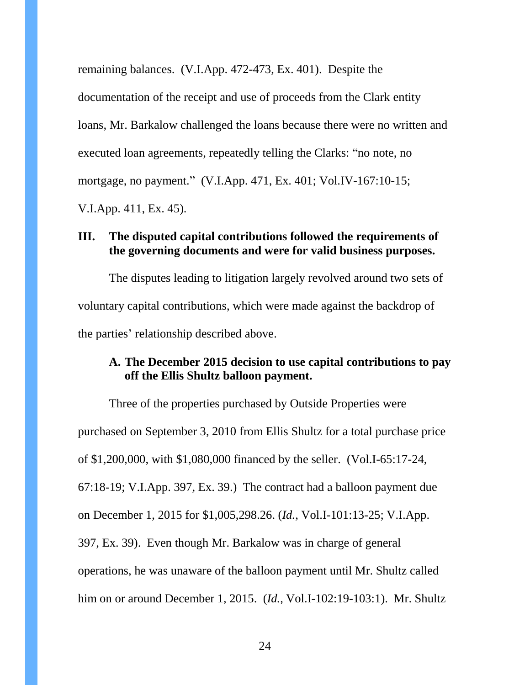remaining balances. (V.I.App. 472-473, Ex. 401). Despite the documentation of the receipt and use of proceeds from the Clark entity loans, Mr. Barkalow challenged the loans because there were no written and executed loan agreements, repeatedly telling the Clarks: "no note, no mortgage, no payment." (V.I.App. 471, Ex. 401; Vol.IV-167:10-15; V.I.App. 411, Ex. 45).

### <span id="page-23-0"></span>**III. The disputed capital contributions followed the requirements of the governing documents and were for valid business purposes.**

The disputes leading to litigation largely revolved around two sets of voluntary capital contributions, which were made against the backdrop of the parties' relationship described above.

## <span id="page-23-1"></span>**A. The December 2015 decision to use capital contributions to pay off the Ellis Shultz balloon payment.**

Three of the properties purchased by Outside Properties were purchased on September 3, 2010 from Ellis Shultz for a total purchase price of \$1,200,000, with \$1,080,000 financed by the seller. (Vol.I-65:17-24, 67:18-19; V.I.App. 397, Ex. 39.) The contract had a balloon payment due on December 1, 2015 for \$1,005,298.26. (*Id.*, Vol.I-101:13-25; V.I.App. 397, Ex. 39). Even though Mr. Barkalow was in charge of general operations, he was unaware of the balloon payment until Mr. Shultz called him on or around December 1, 2015. (*Id.*, Vol.I-102:19-103:1). Mr. Shultz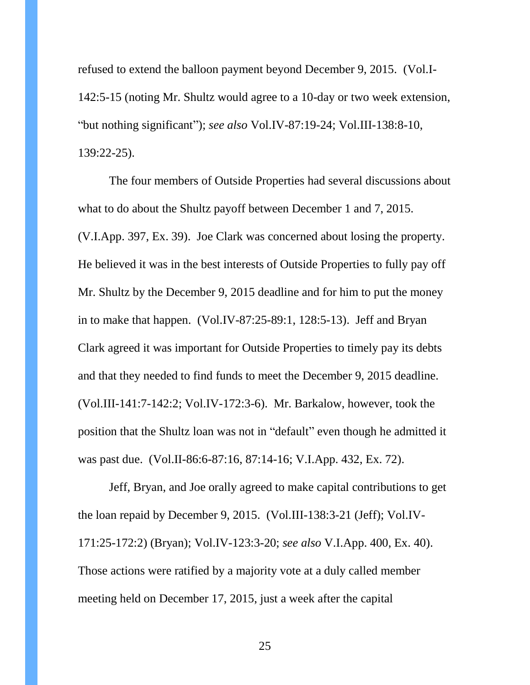refused to extend the balloon payment beyond December 9, 2015. (Vol.I-142:5-15 (noting Mr. Shultz would agree to a 10-day or two week extension, "but nothing significant"); *see also* Vol.IV-87:19-24; Vol.III-138:8-10, 139:22-25).

The four members of Outside Properties had several discussions about what to do about the Shultz payoff between December 1 and 7, 2015. (V.I.App. 397, Ex. 39). Joe Clark was concerned about losing the property. He believed it was in the best interests of Outside Properties to fully pay off Mr. Shultz by the December 9, 2015 deadline and for him to put the money in to make that happen. (Vol.IV-87:25-89:1, 128:5-13). Jeff and Bryan Clark agreed it was important for Outside Properties to timely pay its debts and that they needed to find funds to meet the December 9, 2015 deadline. (Vol.III-141:7-142:2; Vol.IV-172:3-6). Mr. Barkalow, however, took the position that the Shultz loan was not in "default" even though he admitted it was past due. (Vol.II-86:6-87:16, 87:14-16; V.I.App. 432, Ex. 72).

Jeff, Bryan, and Joe orally agreed to make capital contributions to get the loan repaid by December 9, 2015. (Vol.III-138:3-21 (Jeff); Vol.IV-171:25-172:2) (Bryan); Vol.IV-123:3-20; *see also* V.I.App. 400, Ex. 40). Those actions were ratified by a majority vote at a duly called member meeting held on December 17, 2015, just a week after the capital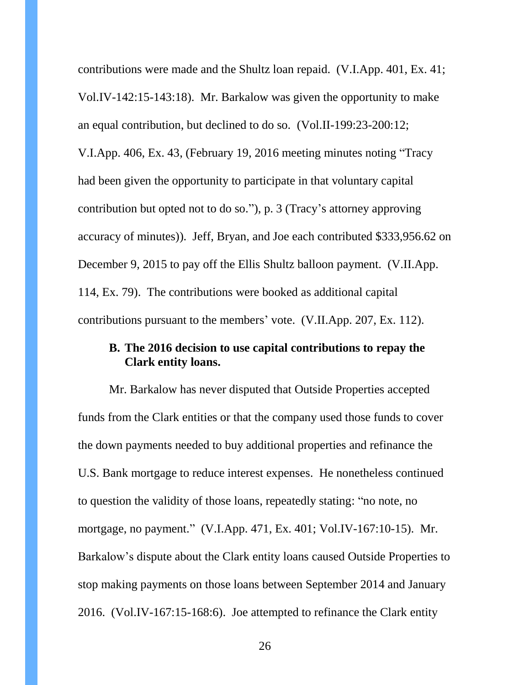contributions were made and the Shultz loan repaid. (V.I.App. 401, Ex. 41; Vol.IV-142:15-143:18). Mr. Barkalow was given the opportunity to make an equal contribution, but declined to do so. (Vol.II-199:23-200:12; V.I.App. 406, Ex. 43, (February 19, 2016 meeting minutes noting "Tracy had been given the opportunity to participate in that voluntary capital contribution but opted not to do so."), p. 3 (Tracy's attorney approving accuracy of minutes)). Jeff, Bryan, and Joe each contributed \$333,956.62 on December 9, 2015 to pay off the Ellis Shultz balloon payment. (V.II.App. 114, Ex. 79). The contributions were booked as additional capital contributions pursuant to the members' vote. (V.II.App. 207, Ex. 112).

## <span id="page-25-0"></span>**B. The 2016 decision to use capital contributions to repay the Clark entity loans.**

Mr. Barkalow has never disputed that Outside Properties accepted funds from the Clark entities or that the company used those funds to cover the down payments needed to buy additional properties and refinance the U.S. Bank mortgage to reduce interest expenses. He nonetheless continued to question the validity of those loans, repeatedly stating: "no note, no mortgage, no payment." (V.I.App. 471, Ex. 401; Vol.IV-167:10-15). Mr. Barkalow's dispute about the Clark entity loans caused Outside Properties to stop making payments on those loans between September 2014 and January 2016. (Vol.IV-167:15-168:6). Joe attempted to refinance the Clark entity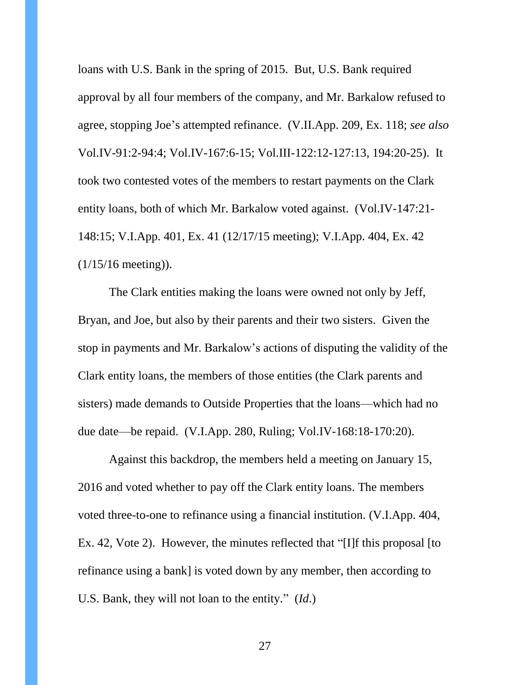loans with U.S. Bank in the spring of 2015. But, U.S. Bank required approval by all four members of the company, and Mr. Barkalow refused to agree, stopping Joe's attempted refinance. (V.II.App. 209, Ex. 118; *see also*  Vol.IV-91:2-94:4; Vol.IV-167:6-15; Vol.III-122:12-127:13, 194:20-25). It took two contested votes of the members to restart payments on the Clark entity loans, both of which Mr. Barkalow voted against. (Vol.IV-147:21- 148:15; V.I.App. 401, Ex. 41 (12/17/15 meeting); V.I.App. 404, Ex. 42 (1/15/16 meeting)).

The Clark entities making the loans were owned not only by Jeff, Bryan, and Joe, but also by their parents and their two sisters. Given the stop in payments and Mr. Barkalow's actions of disputing the validity of the Clark entity loans, the members of those entities (the Clark parents and sisters) made demands to Outside Properties that the loans—which had no due date—be repaid. (V.I.App. 280, Ruling; Vol.IV-168:18-170:20).

Against this backdrop, the members held a meeting on January 15, 2016 and voted whether to pay off the Clark entity loans. The members voted three-to-one to refinance using a financial institution. (V.I.App. 404, Ex. 42, Vote 2). However, the minutes reflected that "[I]f this proposal [to refinance using a bank] is voted down by any member, then according to U.S. Bank, they will not loan to the entity." (*Id*.)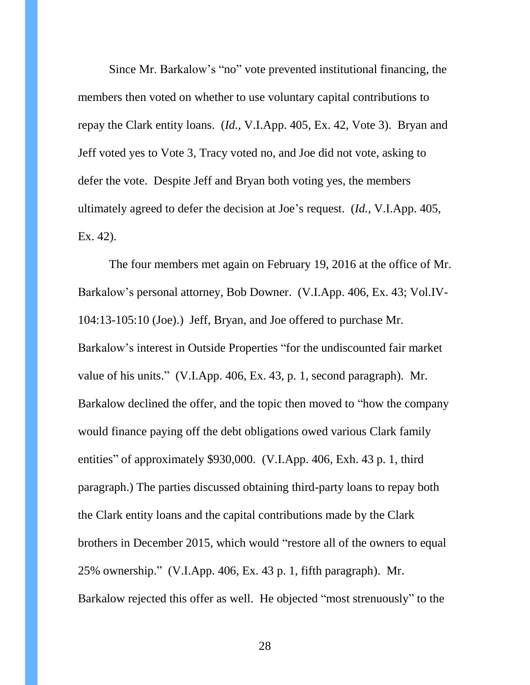Since Mr. Barkalow's "no" vote prevented institutional financing, the members then voted on whether to use voluntary capital contributions to repay the Clark entity loans. (*Id.*, V.I.App. 405, Ex. 42, Vote 3). Bryan and Jeff voted yes to Vote 3, Tracy voted no, and Joe did not vote, asking to defer the vote. Despite Jeff and Bryan both voting yes, the members ultimately agreed to defer the decision at Joe's request. (*Id.*, V.I.App. 405, Ex. 42).

The four members met again on February 19, 2016 at the office of Mr. Barkalow's personal attorney, Bob Downer. (V.I.App. 406, Ex. 43; Vol.IV-104:13-105:10 (Joe).) Jeff, Bryan, and Joe offered to purchase Mr. Barkalow's interest in Outside Properties "for the undiscounted fair market value of his units." (V.I.App. 406, Ex. 43, p. 1, second paragraph). Mr. Barkalow declined the offer, and the topic then moved to "how the company would finance paying off the debt obligations owed various Clark family entities" of approximately \$930,000. (V.I.App. 406, Exh. 43 p. 1, third paragraph.) The parties discussed obtaining third-party loans to repay both the Clark entity loans and the capital contributions made by the Clark brothers in December 2015, which would "restore all of the owners to equal 25% ownership." (V.I.App. 406, Ex. 43 p. 1, fifth paragraph). Mr. Barkalow rejected this offer as well. He objected "most strenuously" to the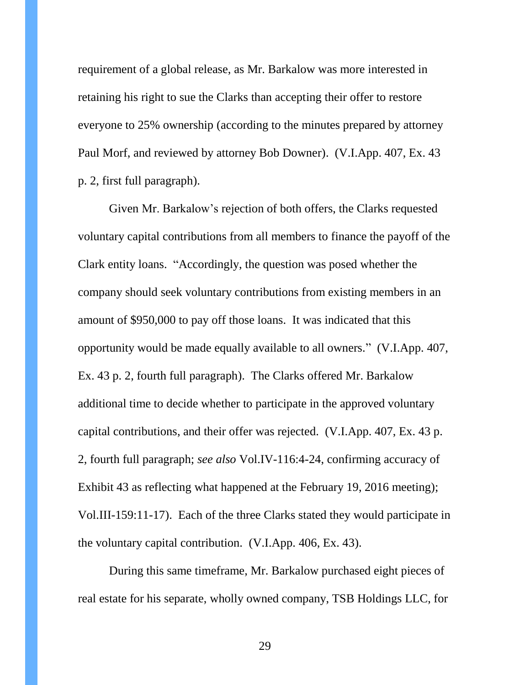requirement of a global release, as Mr. Barkalow was more interested in retaining his right to sue the Clarks than accepting their offer to restore everyone to 25% ownership (according to the minutes prepared by attorney Paul Morf, and reviewed by attorney Bob Downer). (V.I.App. 407, Ex. 43 p. 2, first full paragraph).

Given Mr. Barkalow's rejection of both offers, the Clarks requested voluntary capital contributions from all members to finance the payoff of the Clark entity loans. "Accordingly, the question was posed whether the company should seek voluntary contributions from existing members in an amount of \$950,000 to pay off those loans. It was indicated that this opportunity would be made equally available to all owners." (V.I.App. 407, Ex. 43 p. 2, fourth full paragraph). The Clarks offered Mr. Barkalow additional time to decide whether to participate in the approved voluntary capital contributions, and their offer was rejected. (V.I.App. 407, Ex. 43 p. 2, fourth full paragraph; *see also* Vol.IV-116:4-24, confirming accuracy of Exhibit 43 as reflecting what happened at the February 19, 2016 meeting); Vol.III-159:11-17). Each of the three Clarks stated they would participate in the voluntary capital contribution. (V.I.App. 406, Ex. 43).

During this same timeframe, Mr. Barkalow purchased eight pieces of real estate for his separate, wholly owned company, TSB Holdings LLC, for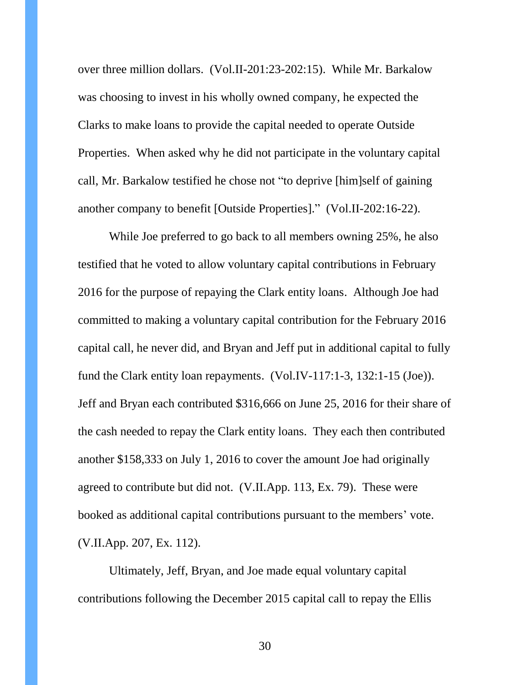over three million dollars. (Vol.II-201:23-202:15). While Mr. Barkalow was choosing to invest in his wholly owned company, he expected the Clarks to make loans to provide the capital needed to operate Outside Properties. When asked why he did not participate in the voluntary capital call, Mr. Barkalow testified he chose not "to deprive [him]self of gaining another company to benefit [Outside Properties]." (Vol.II-202:16-22).

While Joe preferred to go back to all members owning 25%, he also testified that he voted to allow voluntary capital contributions in February 2016 for the purpose of repaying the Clark entity loans. Although Joe had committed to making a voluntary capital contribution for the February 2016 capital call, he never did, and Bryan and Jeff put in additional capital to fully fund the Clark entity loan repayments. (Vol.IV-117:1-3, 132:1-15 (Joe)). Jeff and Bryan each contributed \$316,666 on June 25, 2016 for their share of the cash needed to repay the Clark entity loans. They each then contributed another \$158,333 on July 1, 2016 to cover the amount Joe had originally agreed to contribute but did not. (V.II.App. 113, Ex. 79). These were booked as additional capital contributions pursuant to the members' vote. (V.II.App. 207, Ex. 112).

Ultimately, Jeff, Bryan, and Joe made equal voluntary capital contributions following the December 2015 capital call to repay the Ellis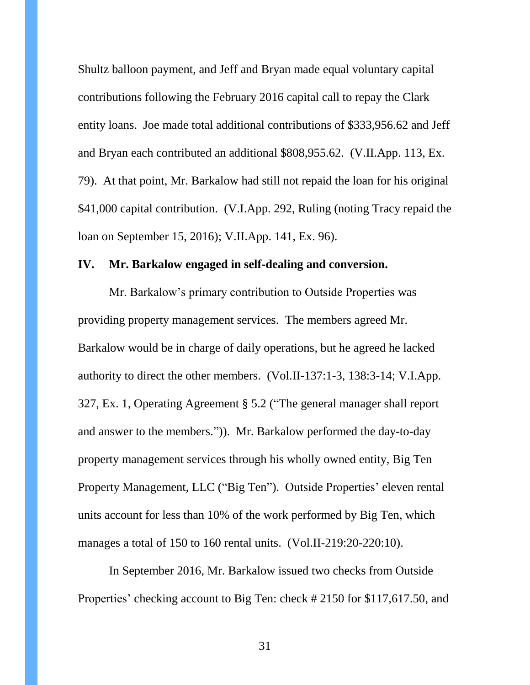Shultz balloon payment, and Jeff and Bryan made equal voluntary capital contributions following the February 2016 capital call to repay the Clark entity loans. Joe made total additional contributions of \$333,956.62 and Jeff and Bryan each contributed an additional \$808,955.62. (V.II.App. 113, Ex. 79). At that point, Mr. Barkalow had still not repaid the loan for his original \$41,000 capital contribution. (V.I.App. 292, Ruling (noting Tracy repaid the loan on September 15, 2016); V.II.App. 141, Ex. 96).

#### <span id="page-30-0"></span>**IV. Mr. Barkalow engaged in self-dealing and conversion.**

Mr. Barkalow's primary contribution to Outside Properties was providing property management services. The members agreed Mr. Barkalow would be in charge of daily operations, but he agreed he lacked authority to direct the other members. (Vol.II-137:1-3, 138:3-14; V.I.App. 327, Ex. 1, Operating Agreement § 5.2 ("The general manager shall report and answer to the members.")). Mr. Barkalow performed the day-to-day property management services through his wholly owned entity, Big Ten Property Management, LLC ("Big Ten"). Outside Properties' eleven rental units account for less than 10% of the work performed by Big Ten, which manages a total of 150 to 160 rental units. (Vol.II-219:20-220:10).

In September 2016, Mr. Barkalow issued two checks from Outside Properties' checking account to Big Ten: check # 2150 for \$117,617.50, and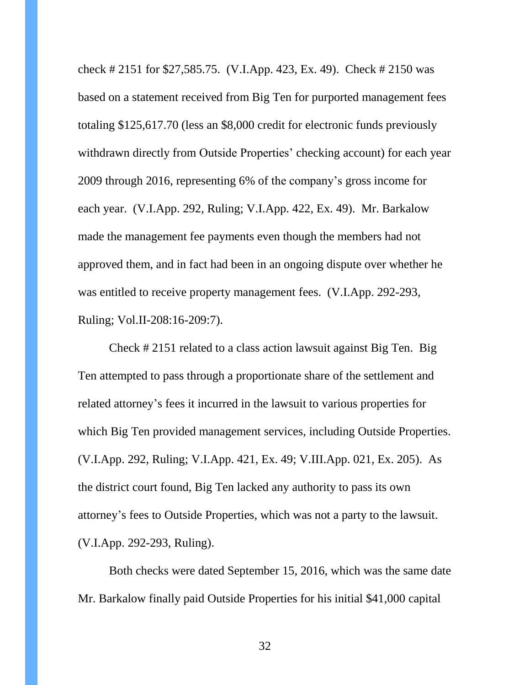check # 2151 for \$27,585.75. (V.I.App. 423, Ex. 49). Check # 2150 was based on a statement received from Big Ten for purported management fees totaling \$125,617.70 (less an \$8,000 credit for electronic funds previously withdrawn directly from Outside Properties' checking account) for each year 2009 through 2016, representing 6% of the company's gross income for each year. (V.I.App. 292, Ruling; V.I.App. 422, Ex. 49). Mr. Barkalow made the management fee payments even though the members had not approved them, and in fact had been in an ongoing dispute over whether he was entitled to receive property management fees. (V.I.App. 292-293, Ruling; Vol.II-208:16-209:7).

Check # 2151 related to a class action lawsuit against Big Ten. Big Ten attempted to pass through a proportionate share of the settlement and related attorney's fees it incurred in the lawsuit to various properties for which Big Ten provided management services, including Outside Properties. (V.I.App. 292, Ruling; V.I.App. 421, Ex. 49; V.III.App. 021, Ex. 205). As the district court found, Big Ten lacked any authority to pass its own attorney's fees to Outside Properties, which was not a party to the lawsuit. (V.I.App. 292-293, Ruling).

Both checks were dated September 15, 2016, which was the same date Mr. Barkalow finally paid Outside Properties for his initial \$41,000 capital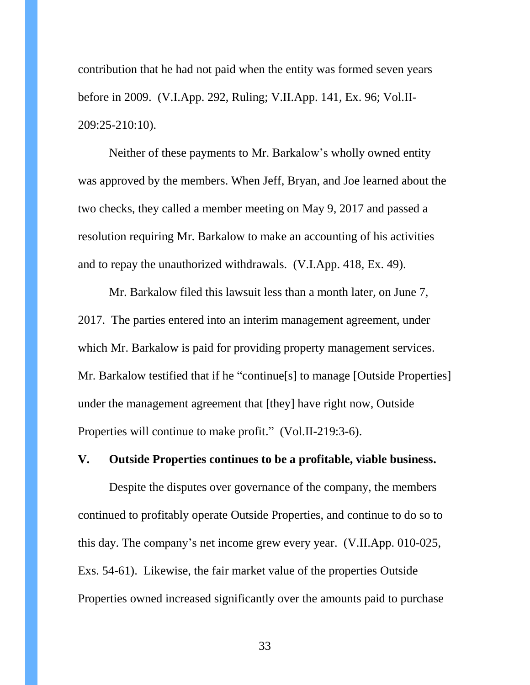contribution that he had not paid when the entity was formed seven years before in 2009. (V.I.App. 292, Ruling; V.II.App. 141, Ex. 96; Vol.II-209:25-210:10).

Neither of these payments to Mr. Barkalow's wholly owned entity was approved by the members. When Jeff, Bryan, and Joe learned about the two checks, they called a member meeting on May 9, 2017 and passed a resolution requiring Mr. Barkalow to make an accounting of his activities and to repay the unauthorized withdrawals. (V.I.App. 418, Ex. 49).

Mr. Barkalow filed this lawsuit less than a month later, on June 7, 2017. The parties entered into an interim management agreement, under which Mr. Barkalow is paid for providing property management services. Mr. Barkalow testified that if he "continue[s] to manage [Outside Properties] under the management agreement that [they] have right now, Outside Properties will continue to make profit." (Vol.II-219:3-6).

### <span id="page-32-0"></span>**V. Outside Properties continues to be a profitable, viable business.**

Despite the disputes over governance of the company, the members continued to profitably operate Outside Properties, and continue to do so to this day. The company's net income grew every year. (V.II.App. 010-025, Exs. 54-61). Likewise, the fair market value of the properties Outside Properties owned increased significantly over the amounts paid to purchase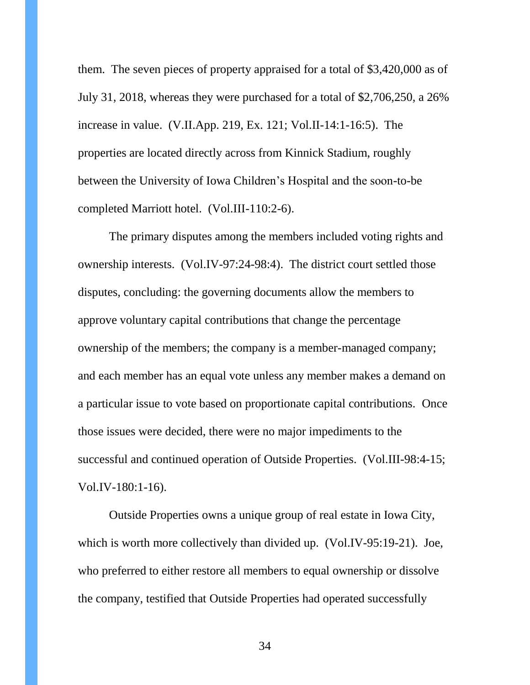them. The seven pieces of property appraised for a total of \$3,420,000 as of July 31, 2018, whereas they were purchased for a total of \$2,706,250, a 26% increase in value. (V.II.App. 219, Ex. 121; Vol.II-14:1-16:5). The properties are located directly across from Kinnick Stadium, roughly between the University of Iowa Children's Hospital and the soon-to-be completed Marriott hotel. (Vol.III-110:2-6).

The primary disputes among the members included voting rights and ownership interests. (Vol.IV-97:24-98:4). The district court settled those disputes, concluding: the governing documents allow the members to approve voluntary capital contributions that change the percentage ownership of the members; the company is a member-managed company; and each member has an equal vote unless any member makes a demand on a particular issue to vote based on proportionate capital contributions. Once those issues were decided, there were no major impediments to the successful and continued operation of Outside Properties. (Vol.III-98:4-15; Vol.IV-180:1-16).

Outside Properties owns a unique group of real estate in Iowa City, which is worth more collectively than divided up. (Vol.IV-95:19-21). Joe, who preferred to either restore all members to equal ownership or dissolve the company, testified that Outside Properties had operated successfully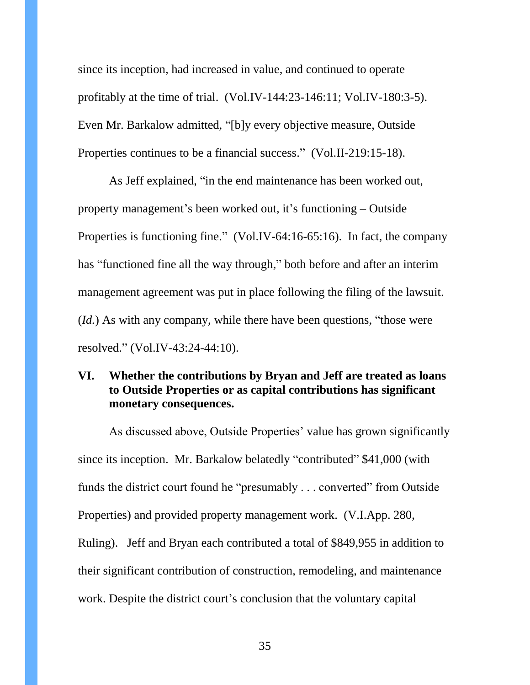since its inception, had increased in value, and continued to operate profitably at the time of trial. (Vol.IV-144:23-146:11; Vol.IV-180:3-5). Even Mr. Barkalow admitted, "[b]y every objective measure, Outside Properties continues to be a financial success." (Vol.II-219:15-18).

As Jeff explained, "in the end maintenance has been worked out, property management's been worked out, it's functioning – Outside Properties is functioning fine." (Vol.IV-64:16-65:16). In fact, the company has "functioned fine all the way through," both before and after an interim management agreement was put in place following the filing of the lawsuit. (*Id.*) As with any company, while there have been questions, "those were resolved." (Vol.IV-43:24-44:10).

## <span id="page-34-0"></span>**VI. Whether the contributions by Bryan and Jeff are treated as loans to Outside Properties or as capital contributions has significant monetary consequences.**

As discussed above, Outside Properties' value has grown significantly since its inception. Mr. Barkalow belatedly "contributed" \$41,000 (with funds the district court found he "presumably . . . converted" from Outside Properties) and provided property management work. (V.I.App. 280, Ruling). Jeff and Bryan each contributed a total of \$849,955 in addition to their significant contribution of construction, remodeling, and maintenance work. Despite the district court's conclusion that the voluntary capital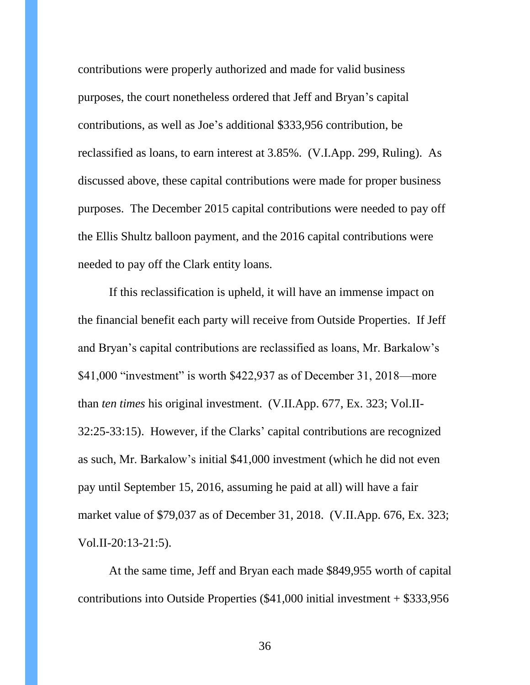contributions were properly authorized and made for valid business purposes, the court nonetheless ordered that Jeff and Bryan's capital contributions, as well as Joe's additional \$333,956 contribution, be reclassified as loans, to earn interest at 3.85%. (V.I.App. 299, Ruling). As discussed above, these capital contributions were made for proper business purposes. The December 2015 capital contributions were needed to pay off the Ellis Shultz balloon payment, and the 2016 capital contributions were needed to pay off the Clark entity loans.

If this reclassification is upheld, it will have an immense impact on the financial benefit each party will receive from Outside Properties. If Jeff and Bryan's capital contributions are reclassified as loans, Mr. Barkalow's \$41,000 "investment" is worth \$422,937 as of December 31, 2018—more than *ten times* his original investment. (V.II.App. 677, Ex. 323; Vol.II-32:25-33:15). However, if the Clarks' capital contributions are recognized as such, Mr. Barkalow's initial \$41,000 investment (which he did not even pay until September 15, 2016, assuming he paid at all) will have a fair market value of \$79,037 as of December 31, 2018. (V.II.App. 676, Ex. 323; Vol.II-20:13-21:5).

At the same time, Jeff and Bryan each made \$849,955 worth of capital contributions into Outside Properties (\$41,000 initial investment + \$333,956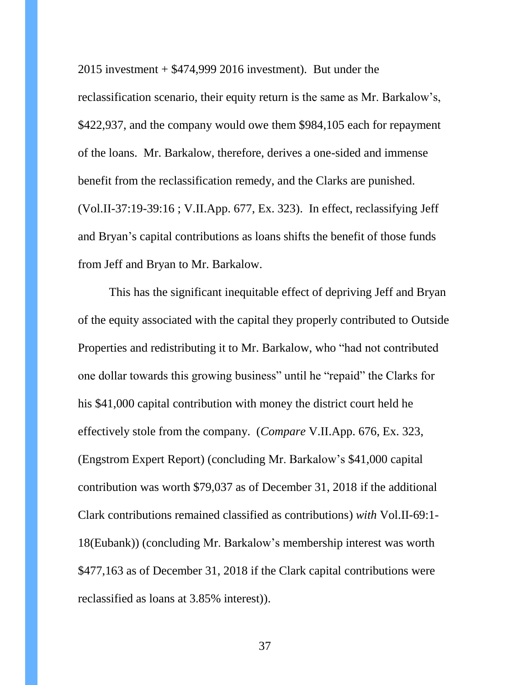$2015$  investment  $+$  \$474,999 2016 investment). But under the reclassification scenario, their equity return is the same as Mr. Barkalow's, \$422,937, and the company would owe them \$984,105 each for repayment of the loans. Mr. Barkalow, therefore, derives a one-sided and immense benefit from the reclassification remedy, and the Clarks are punished. (Vol.II-37:19-39:16 ; V.II.App. 677, Ex. 323). In effect, reclassifying Jeff and Bryan's capital contributions as loans shifts the benefit of those funds from Jeff and Bryan to Mr. Barkalow.

This has the significant inequitable effect of depriving Jeff and Bryan of the equity associated with the capital they properly contributed to Outside Properties and redistributing it to Mr. Barkalow, who "had not contributed one dollar towards this growing business" until he "repaid" the Clarks for his \$41,000 capital contribution with money the district court held he effectively stole from the company. (*Compare* V.II.App. 676, Ex. 323, (Engstrom Expert Report) (concluding Mr. Barkalow's \$41,000 capital contribution was worth \$79,037 as of December 31, 2018 if the additional Clark contributions remained classified as contributions) *with* Vol.II-69:1- 18(Eubank)) (concluding Mr. Barkalow's membership interest was worth \$477,163 as of December 31, 2018 if the Clark capital contributions were reclassified as loans at 3.85% interest)).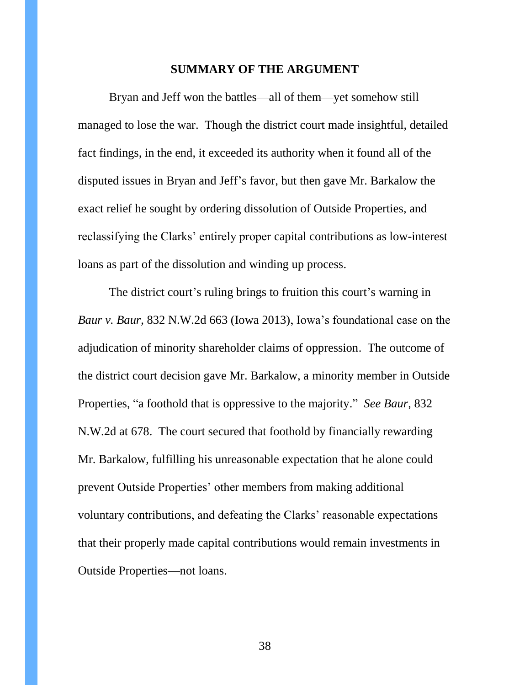#### **SUMMARY OF THE ARGUMENT**

<span id="page-37-0"></span>Bryan and Jeff won the battles—all of them—yet somehow still managed to lose the war. Though the district court made insightful, detailed fact findings, in the end, it exceeded its authority when it found all of the disputed issues in Bryan and Jeff's favor, but then gave Mr. Barkalow the exact relief he sought by ordering dissolution of Outside Properties, and reclassifying the Clarks' entirely proper capital contributions as low-interest loans as part of the dissolution and winding up process.

The district court's ruling brings to fruition this court's warning in *Baur v. Baur*, 832 N.W.2d 663 (Iowa 2013), Iowa's foundational case on the adjudication of minority shareholder claims of oppression. The outcome of the district court decision gave Mr. Barkalow, a minority member in Outside Properties, "a foothold that is oppressive to the majority." *See Baur*, 832 N.W.2d at 678. The court secured that foothold by financially rewarding Mr. Barkalow, fulfilling his unreasonable expectation that he alone could prevent Outside Properties' other members from making additional voluntary contributions, and defeating the Clarks' reasonable expectations that their properly made capital contributions would remain investments in Outside Properties—not loans.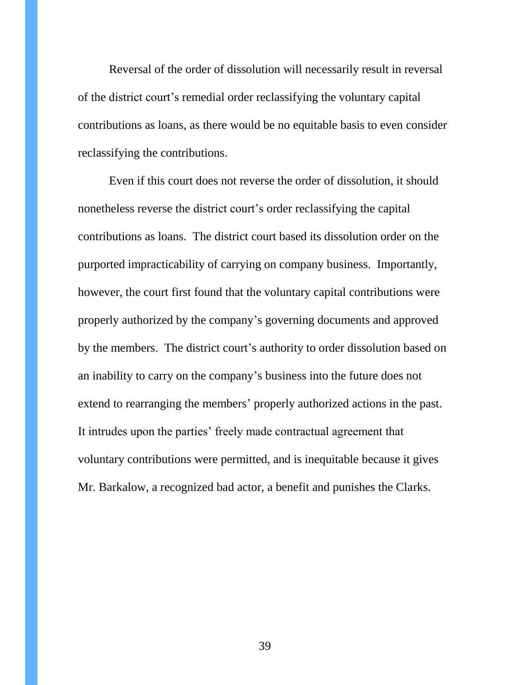Reversal of the order of dissolution will necessarily result in reversal of the district court's remedial order reclassifying the voluntary capital contributions as loans, as there would be no equitable basis to even consider reclassifying the contributions.

<span id="page-38-0"></span>Even if this court does not reverse the order of dissolution, it should nonetheless reverse the district court's order reclassifying the capital contributions as loans. The district court based its dissolution order on the purported impracticability of carrying on company business. Importantly, however, the court first found that the voluntary capital contributions were properly authorized by the company's governing documents and approved by the members. The district court's authority to order dissolution based on an inability to carry on the company's business into the future does not extend to rearranging the members' properly authorized actions in the past. It intrudes upon the parties' freely made contractual agreement that voluntary contributions were permitted, and is inequitable because it gives Mr. Barkalow, a recognized bad actor, a benefit and punishes the Clarks.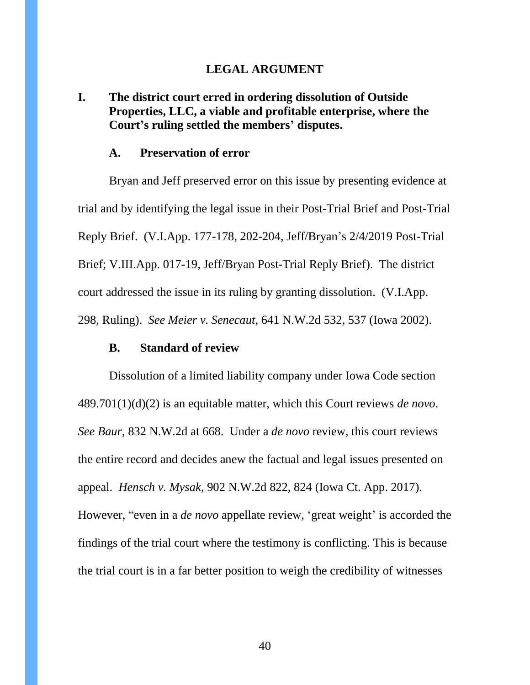#### **LEGAL ARGUMENT**

## <span id="page-39-0"></span>**I. The district court erred in ordering dissolution of Outside Properties, LLC, a viable and profitable enterprise, where the Court's ruling settled the members' disputes.**

### **A. Preservation of error**

<span id="page-39-1"></span>Bryan and Jeff preserved error on this issue by presenting evidence at trial and by identifying the legal issue in their Post-Trial Brief and Post-Trial Reply Brief. (V.I.App. 177-178, 202-204, Jeff/Bryan's 2/4/2019 Post-Trial Brief; V.III.App. 017-19, Jeff/Bryan Post-Trial Reply Brief). The district court addressed the issue in its ruling by granting dissolution. (V.I.App. 298, Ruling). *See Meier v. Senecaut*, 641 N.W.2d 532, 537 (Iowa 2002).

### **B. Standard of review**

<span id="page-39-2"></span>Dissolution of a limited liability company under Iowa Code section 489.701(1)(d)(2) is an equitable matter, which this Court reviews *de novo*. *See Baur*, 832 N.W.2d at 668. Under a *de novo* review, this court reviews the entire record and decides anew the factual and legal issues presented on appeal. *Hensch v. Mysak*, 902 N.W.2d 822, 824 (Iowa Ct. App. 2017). However, "even in a *de novo* appellate review, 'great weight' is accorded the findings of the trial court where the testimony is conflicting. This is because the trial court is in a far better position to weigh the credibility of witnesses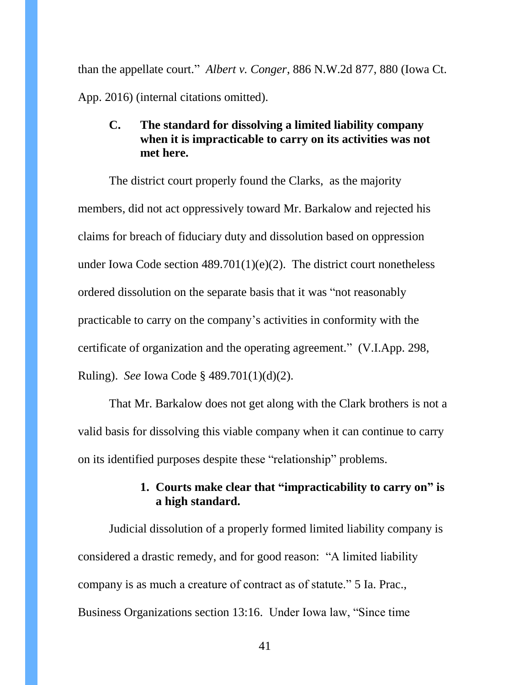than the appellate court." *Albert v. Conger*, 886 N.W.2d 877, 880 (Iowa Ct. App. 2016) (internal citations omitted).

## <span id="page-40-0"></span>**C. The standard for dissolving a limited liability company when it is impracticable to carry on its activities was not met here.**

The district court properly found the Clarks, as the majority members, did not act oppressively toward Mr. Barkalow and rejected his claims for breach of fiduciary duty and dissolution based on oppression under Iowa Code section  $489.701(1)(e)(2)$ . The district court nonetheless ordered dissolution on the separate basis that it was "not reasonably practicable to carry on the company's activities in conformity with the certificate of organization and the operating agreement." (V.I.App. 298, Ruling). *See* Iowa Code § 489.701(1)(d)(2).

That Mr. Barkalow does not get along with the Clark brothers is not a valid basis for dissolving this viable company when it can continue to carry on its identified purposes despite these "relationship" problems.

## **1. Courts make clear that "impracticability to carry on" is a high standard.**

<span id="page-40-1"></span>Judicial dissolution of a properly formed limited liability company is considered a drastic remedy, and for good reason: "A limited liability company is as much a creature of contract as of statute." 5 Ia. Prac., Business Organizations section 13:16. Under Iowa law, "Since time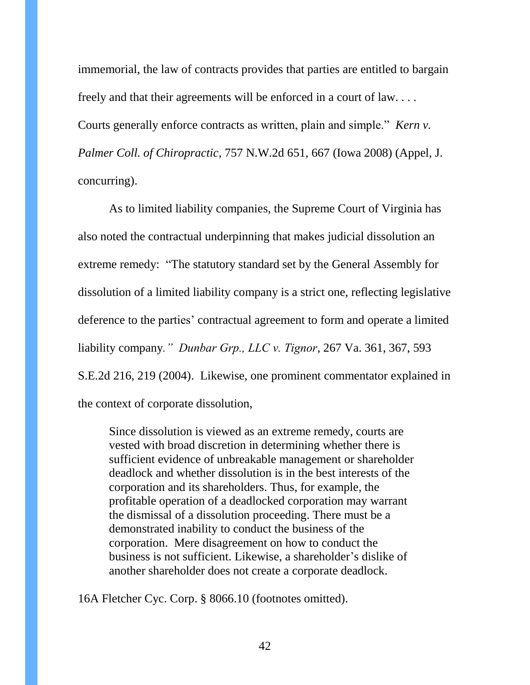immemorial, the law of contracts provides that parties are entitled to bargain freely and that their agreements will be enforced in a court of law. . . . Courts generally enforce contracts as written, plain and simple." *Kern v. Palmer Coll. of Chiropractic*, 757 N.W.2d 651, 667 (Iowa 2008) (Appel, J. concurring).

As to limited liability companies, the Supreme Court of Virginia has also noted the contractual underpinning that makes judicial dissolution an extreme remedy: "The statutory standard set by the General Assembly for dissolution of a limited liability company is a strict one, reflecting legislative deference to the parties' contractual agreement to form and operate a limited liability company*." Dunbar Grp., LLC v. Tignor*, 267 Va. 361, 367, 593 S.E.2d 216, 219 (2004). Likewise, one prominent commentator explained in the context of corporate dissolution,

Since dissolution is viewed as an extreme remedy, courts are vested with broad discretion in determining whether there is sufficient evidence of unbreakable management or shareholder deadlock and whether dissolution is in the best interests of the corporation and its shareholders. Thus, for example, the profitable operation of a deadlocked corporation may warrant the dismissal of a dissolution proceeding. There must be a demonstrated inability to conduct the business of the corporation. Mere disagreement on how to conduct the business is not sufficient. Likewise, a shareholder's dislike of another shareholder does not create a corporate deadlock.

16A Fletcher Cyc. Corp. § 8066.10 (footnotes omitted).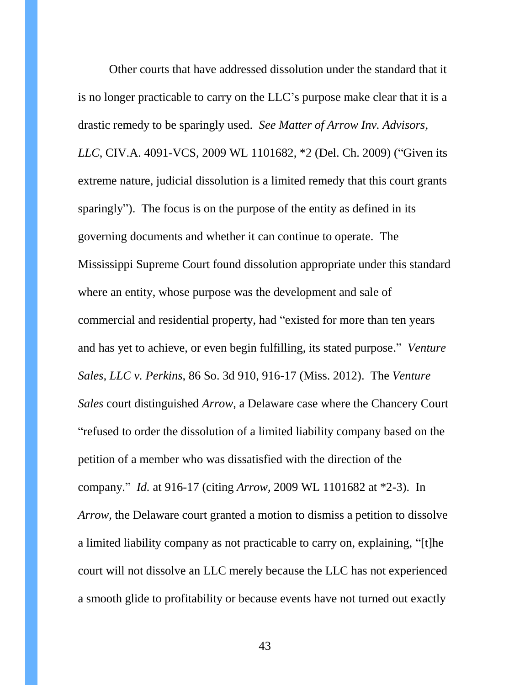Other courts that have addressed dissolution under the standard that it is no longer practicable to carry on the LLC's purpose make clear that it is a drastic remedy to be sparingly used. *See Matter of Arrow Inv. Advisors, LLC*, CIV.A. 4091-VCS, 2009 WL 1101682, \*2 (Del. Ch. 2009) ("Given its extreme nature, judicial dissolution is a limited remedy that this court grants sparingly"). The focus is on the purpose of the entity as defined in its governing documents and whether it can continue to operate. The Mississippi Supreme Court found dissolution appropriate under this standard where an entity, whose purpose was the development and sale of commercial and residential property, had "existed for more than ten years and has yet to achieve, or even begin fulfilling, its stated purpose." *Venture Sales, LLC v. Perkins*, 86 So. 3d 910, 916-17 (Miss. 2012). The *Venture Sales* court distinguished *Arrow*, a Delaware case where the Chancery Court "refused to order the dissolution of a limited liability company based on the petition of a member who was dissatisfied with the direction of the company." *Id.* at 916-17 (citing *Arrow*, 2009 WL 1101682 at \*2-3). In *Arrow,* the Delaware court granted a motion to dismiss a petition to dissolve a limited liability company as not practicable to carry on, explaining, "[t]he court will not dissolve an LLC merely because the LLC has not experienced a smooth glide to profitability or because events have not turned out exactly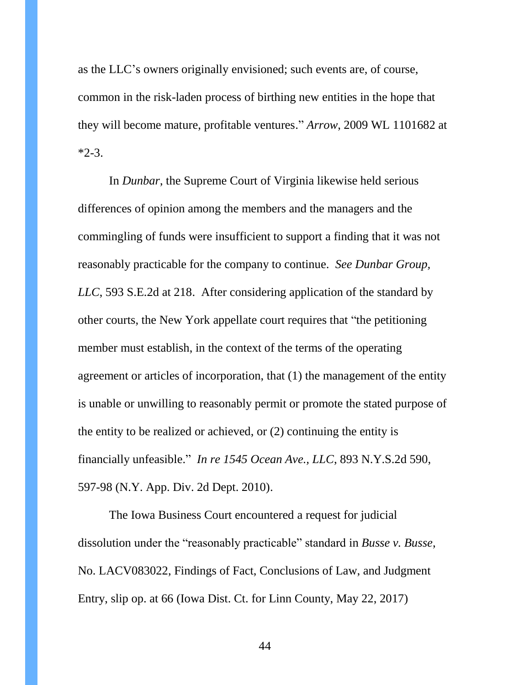as the LLC's owners originally envisioned; such events are, of course, common in the risk-laden process of birthing new entities in the hope that they will become mature, profitable ventures." *Arrow*, 2009 WL 1101682 at  $*2-3$ .

In *Dunbar*, the Supreme Court of Virginia likewise held serious differences of opinion among the members and the managers and the commingling of funds were insufficient to support a finding that it was not reasonably practicable for the company to continue. *See Dunbar Group, LLC*, 593 S.E.2d at 218. After considering application of the standard by other courts, the New York appellate court requires that "the petitioning member must establish, in the context of the terms of the operating agreement or articles of incorporation, that (1) the management of the entity is unable or unwilling to reasonably permit or promote the stated purpose of the entity to be realized or achieved, or (2) continuing the entity is financially unfeasible." *In re 1545 Ocean Ave., LLC*, 893 N.Y.S.2d 590, 597-98 (N.Y. App. Div. 2d Dept. 2010).

The Iowa Business Court encountered a request for judicial dissolution under the "reasonably practicable" standard in *Busse v. Busse*, No. LACV083022, Findings of Fact, Conclusions of Law, and Judgment Entry, slip op. at 66 (Iowa Dist. Ct. for Linn County, May 22, 2017)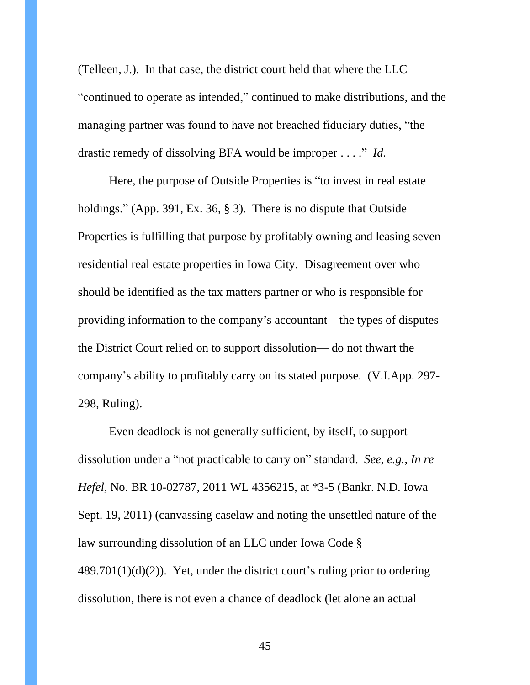(Telleen, J.). In that case, the district court held that where the LLC "continued to operate as intended," continued to make distributions, and the managing partner was found to have not breached fiduciary duties, "the drastic remedy of dissolving BFA would be improper . . . ." *Id.*

Here, the purpose of Outside Properties is "to invest in real estate holdings." (App. 391, Ex. 36, § 3). There is no dispute that Outside Properties is fulfilling that purpose by profitably owning and leasing seven residential real estate properties in Iowa City. Disagreement over who should be identified as the tax matters partner or who is responsible for providing information to the company's accountant—the types of disputes the District Court relied on to support dissolution— do not thwart the company's ability to profitably carry on its stated purpose. (V.I.App. 297- 298, Ruling).

Even deadlock is not generally sufficient, by itself, to support dissolution under a "not practicable to carry on" standard. *See, e.g., In re Hefel,* No. BR 10-02787, 2011 WL 4356215, at \*3-5 (Bankr. N.D. Iowa Sept. 19, 2011) (canvassing caselaw and noting the unsettled nature of the law surrounding dissolution of an LLC under Iowa Code §  $489.701(1)(d)(2)$ . Yet, under the district court's ruling prior to ordering dissolution, there is not even a chance of deadlock (let alone an actual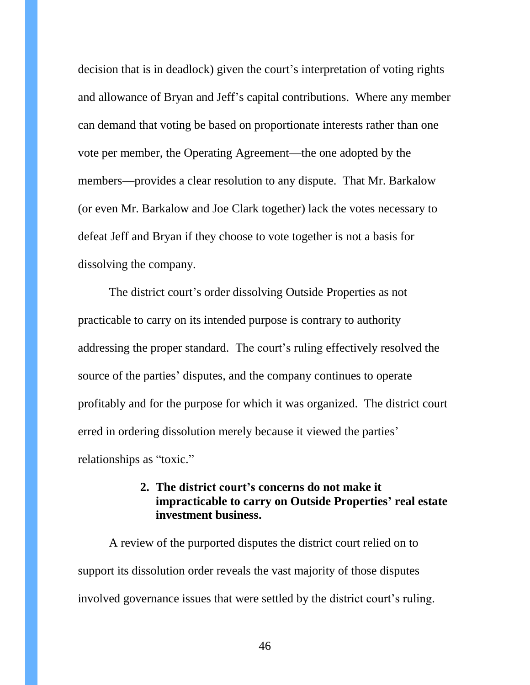decision that is in deadlock) given the court's interpretation of voting rights and allowance of Bryan and Jeff's capital contributions. Where any member can demand that voting be based on proportionate interests rather than one vote per member, the Operating Agreement—the one adopted by the members—provides a clear resolution to any dispute. That Mr. Barkalow (or even Mr. Barkalow and Joe Clark together) lack the votes necessary to defeat Jeff and Bryan if they choose to vote together is not a basis for dissolving the company.

The district court's order dissolving Outside Properties as not practicable to carry on its intended purpose is contrary to authority addressing the proper standard. The court's ruling effectively resolved the source of the parties' disputes, and the company continues to operate profitably and for the purpose for which it was organized. The district court erred in ordering dissolution merely because it viewed the parties' relationships as "toxic."

### **2. The district court's concerns do not make it impracticable to carry on Outside Properties' real estate investment business.**

<span id="page-45-0"></span>A review of the purported disputes the district court relied on to support its dissolution order reveals the vast majority of those disputes involved governance issues that were settled by the district court's ruling.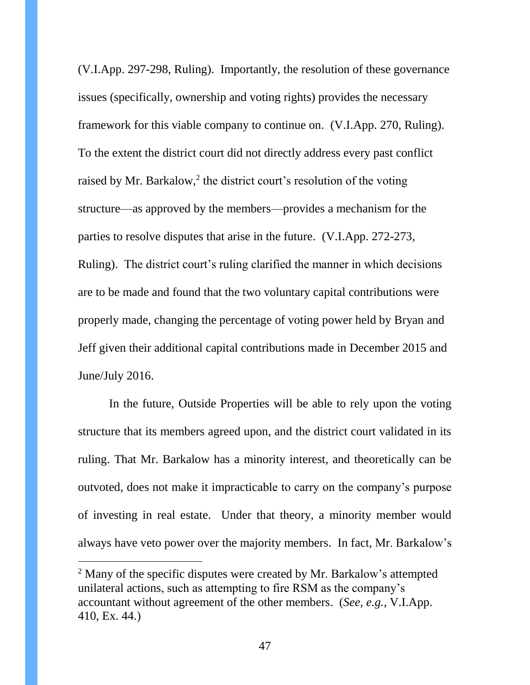(V.I.App. 297-298, Ruling). Importantly, the resolution of these governance issues (specifically, ownership and voting rights) provides the necessary framework for this viable company to continue on. (V.I.App. 270, Ruling). To the extent the district court did not directly address every past conflict raised by Mr. Barkalow,<sup>2</sup> the district court's resolution of the voting structure—as approved by the members—provides a mechanism for the parties to resolve disputes that arise in the future. (V.I.App. 272-273, Ruling). The district court's ruling clarified the manner in which decisions are to be made and found that the two voluntary capital contributions were properly made, changing the percentage of voting power held by Bryan and Jeff given their additional capital contributions made in December 2015 and June/July 2016.

In the future, Outside Properties will be able to rely upon the voting structure that its members agreed upon, and the district court validated in its ruling. That Mr. Barkalow has a minority interest, and theoretically can be outvoted, does not make it impracticable to carry on the company's purpose of investing in real estate. Under that theory, a minority member would always have veto power over the majority members. In fact, Mr. Barkalow's

 $\overline{a}$ 

<sup>&</sup>lt;sup>2</sup> Many of the specific disputes were created by Mr. Barkalow's attempted unilateral actions, such as attempting to fire RSM as the company's accountant without agreement of the other members. (*See, e.g.,* V.I.App. 410, Ex. 44.)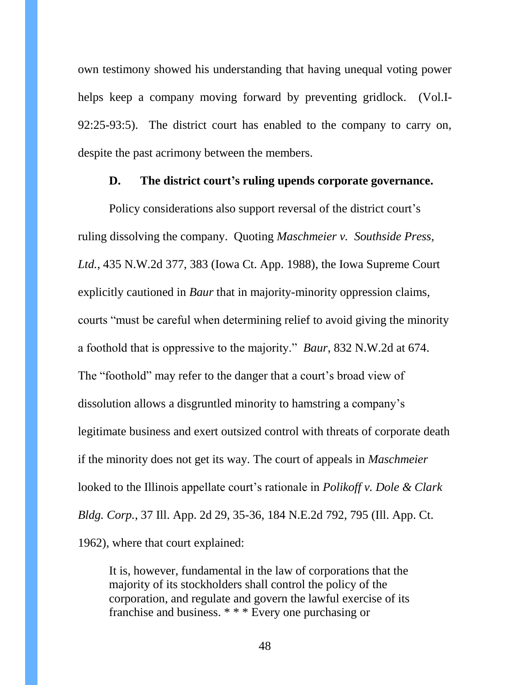own testimony showed his understanding that having unequal voting power helps keep a company moving forward by preventing gridlock. (Vol.I-92:25-93:5). The district court has enabled to the company to carry on, despite the past acrimony between the members.

#### **D. The district court's ruling upends corporate governance.**

<span id="page-47-0"></span>Policy considerations also support reversal of the district court's ruling dissolving the company. Quoting *Maschmeier v. Southside Press, Ltd.*, 435 N.W.2d 377, 383 (Iowa Ct. App. 1988), the Iowa Supreme Court explicitly cautioned in *Baur* that in majority-minority oppression claims, courts "must be careful when determining relief to avoid giving the minority a foothold that is oppressive to the majority." *Baur*, 832 N.W.2d at 674. The "foothold" may refer to the danger that a court's broad view of dissolution allows a disgruntled minority to hamstring a company's legitimate business and exert outsized control with threats of corporate death if the minority does not get its way. The court of appeals in *Maschmeier* looked to the Illinois appellate court's rationale in *Polikoff v. Dole & Clark Bldg. Corp.*, 37 Ill. App. 2d 29, 35-36, 184 N.E.2d 792, 795 (Ill. App. Ct. 1962), where that court explained:

It is, however, fundamental in the law of corporations that the majority of its stockholders shall control the policy of the corporation, and regulate and govern the lawful exercise of its franchise and business. \* \* \* Every one purchasing or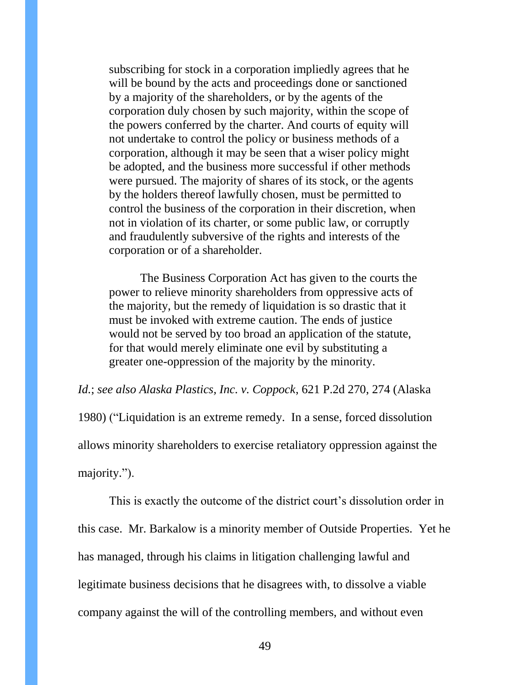subscribing for stock in a corporation impliedly agrees that he will be bound by the acts and proceedings done or sanctioned by a majority of the shareholders, or by the agents of the corporation duly chosen by such majority, within the scope of the powers conferred by the charter. And courts of equity will not undertake to control the policy or business methods of a corporation, although it may be seen that a wiser policy might be adopted, and the business more successful if other methods were pursued. The majority of shares of its stock, or the agents by the holders thereof lawfully chosen, must be permitted to control the business of the corporation in their discretion, when not in violation of its charter, or some public law, or corruptly and fraudulently subversive of the rights and interests of the corporation or of a shareholder.

The Business Corporation Act has given to the courts the power to relieve minority shareholders from oppressive acts of the majority, but the remedy of liquidation is so drastic that it must be invoked with extreme caution. The ends of justice would not be served by too broad an application of the statute, for that would merely eliminate one evil by substituting a greater one-oppression of the majority by the minority.

*Id.*; *see also Alaska Plastics, Inc. v. Coppock*, 621 P.2d 270, 274 (Alaska 1980) ("Liquidation is an extreme remedy. In a sense, forced dissolution allows minority shareholders to exercise retaliatory oppression against the majority.").

This is exactly the outcome of the district court's dissolution order in this case. Mr. Barkalow is a minority member of Outside Properties. Yet he has managed, through his claims in litigation challenging lawful and legitimate business decisions that he disagrees with, to dissolve a viable company against the will of the controlling members, and without even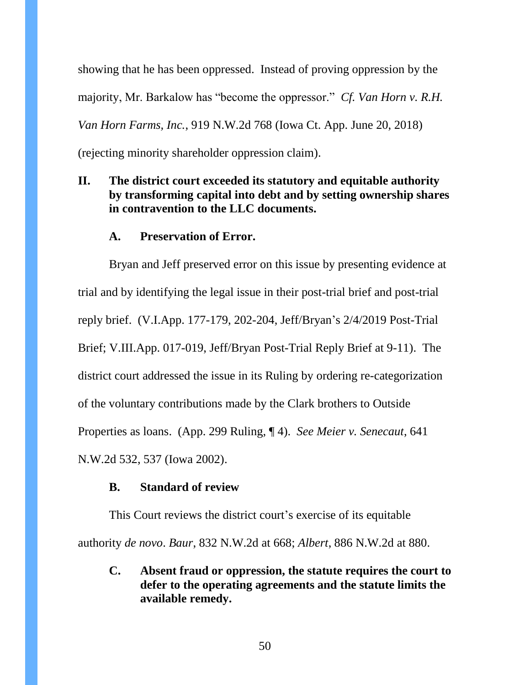showing that he has been oppressed. Instead of proving oppression by the majority, Mr. Barkalow has "become the oppressor." *Cf. Van Horn v. R.H. Van Horn Farms, Inc.*, 919 N.W.2d 768 (Iowa Ct. App. June 20, 2018) (rejecting minority shareholder oppression claim).

## <span id="page-49-0"></span>**II. The district court exceeded its statutory and equitable authority by transforming capital into debt and by setting ownership shares in contravention to the LLC documents.**

### **A. Preservation of Error.**

<span id="page-49-1"></span>Bryan and Jeff preserved error on this issue by presenting evidence at trial and by identifying the legal issue in their post-trial brief and post-trial reply brief. (V.I.App. 177-179, 202-204, Jeff/Bryan's 2/4/2019 Post-Trial Brief; V.III.App. 017-019, Jeff/Bryan Post-Trial Reply Brief at 9-11). The district court addressed the issue in its Ruling by ordering re-categorization of the voluntary contributions made by the Clark brothers to Outside Properties as loans. (App. 299 Ruling, ¶ 4). *See Meier v. Senecaut*, 641 N.W.2d 532, 537 (Iowa 2002).

#### **B. Standard of review**

<span id="page-49-2"></span>This Court reviews the district court's exercise of its equitable authority *de novo*. *Baur*, 832 N.W.2d at 668; *Albert*, 886 N.W.2d at 880.

<span id="page-49-3"></span>**C. Absent fraud or oppression, the statute requires the court to defer to the operating agreements and the statute limits the available remedy.**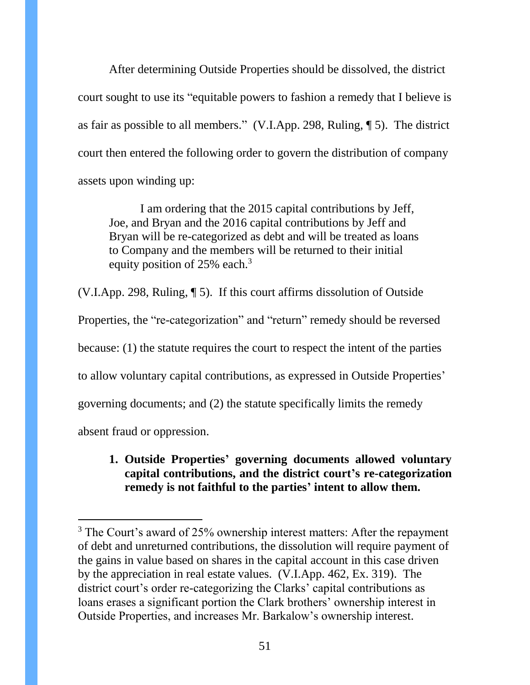After determining Outside Properties should be dissolved, the district court sought to use its "equitable powers to fashion a remedy that I believe is as fair as possible to all members." (V.I.App. 298, Ruling, ¶ 5). The district court then entered the following order to govern the distribution of company assets upon winding up:

I am ordering that the 2015 capital contributions by Jeff, Joe, and Bryan and the 2016 capital contributions by Jeff and Bryan will be re-categorized as debt and will be treated as loans to Company and the members will be returned to their initial equity position of 25% each.<sup>3</sup>

(V.I.App. 298, Ruling, ¶ 5). If this court affirms dissolution of Outside

Properties, the "re-categorization" and "return" remedy should be reversed

because: (1) the statute requires the court to respect the intent of the parties

to allow voluntary capital contributions, as expressed in Outside Properties'

governing documents; and (2) the statute specifically limits the remedy

<span id="page-50-0"></span>absent fraud or oppression.

l

## **1. Outside Properties' governing documents allowed voluntary capital contributions, and the district court's re-categorization remedy is not faithful to the parties' intent to allow them.**

<sup>&</sup>lt;sup>3</sup> The Court's award of 25% ownership interest matters: After the repayment of debt and unreturned contributions, the dissolution will require payment of the gains in value based on shares in the capital account in this case driven by the appreciation in real estate values. (V.I.App. 462, Ex. 319). The district court's order re-categorizing the Clarks' capital contributions as loans erases a significant portion the Clark brothers' ownership interest in Outside Properties, and increases Mr. Barkalow's ownership interest.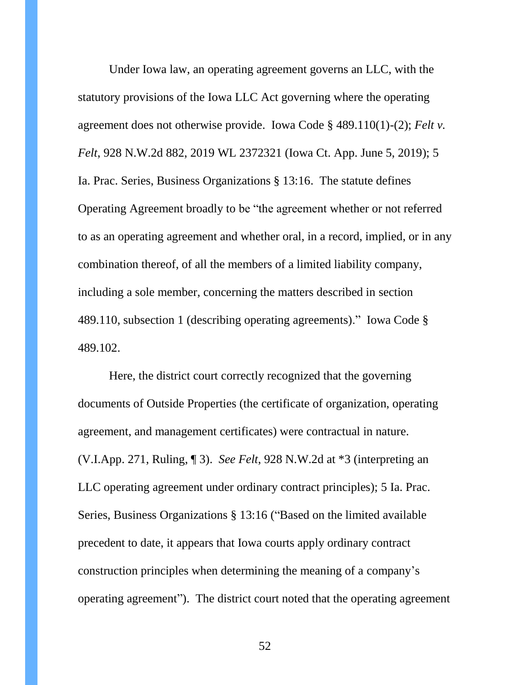Under Iowa law, an operating agreement governs an LLC, with the statutory provisions of the Iowa LLC Act governing where the operating agreement does not otherwise provide. Iowa Code § 489.110(1)-(2); *Felt v. Felt*, 928 N.W.2d 882, 2019 WL 2372321 (Iowa Ct. App. June 5, 2019); 5 Ia. Prac. Series, Business Organizations § 13:16. The statute defines Operating Agreement broadly to be "the agreement whether or not referred to as an operating agreement and whether oral, in a record, implied, or in any combination thereof, of all the members of a limited liability company, including a sole member, concerning the matters described in section 489.110, subsection 1 (describing operating agreements)." Iowa Code § 489.102.

Here, the district court correctly recognized that the governing documents of Outside Properties (the certificate of organization, operating agreement, and management certificates) were contractual in nature. (V.I.App. 271, Ruling, ¶ 3). *See Felt*, 928 N.W.2d at \*3 (interpreting an LLC operating agreement under ordinary contract principles); 5 Ia. Prac. Series, Business Organizations § 13:16 ("Based on the limited available precedent to date, it appears that Iowa courts apply ordinary contract construction principles when determining the meaning of a company's operating agreement"). The district court noted that the operating agreement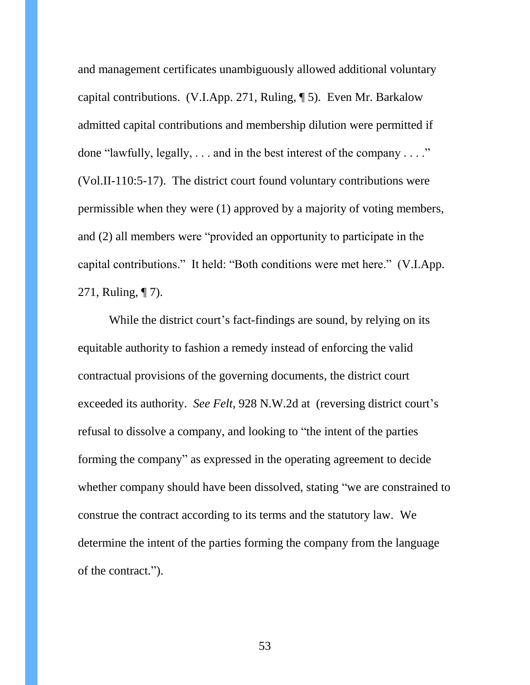and management certificates unambiguously allowed additional voluntary capital contributions. (V.I.App. 271, Ruling, ¶ 5). Even Mr. Barkalow admitted capital contributions and membership dilution were permitted if done "lawfully, legally,  $\dots$  and in the best interest of the company  $\dots$ " (Vol.II-110:5-17). The district court found voluntary contributions were permissible when they were (1) approved by a majority of voting members, and (2) all members were "provided an opportunity to participate in the capital contributions." It held: "Both conditions were met here." (V.I.App. 271, Ruling, ¶ 7).

While the district court's fact-findings are sound, by relying on its equitable authority to fashion a remedy instead of enforcing the valid contractual provisions of the governing documents, the district court exceeded its authority. *See Felt*, 928 N.W.2d at (reversing district court's refusal to dissolve a company, and looking to "the intent of the parties forming the company" as expressed in the operating agreement to decide whether company should have been dissolved, stating "we are constrained to construe the contract according to its terms and the statutory law. We determine the intent of the parties forming the company from the language of the contract.").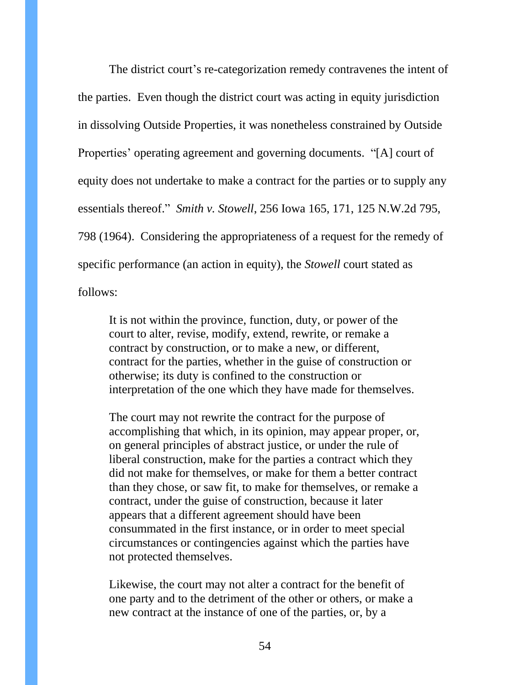The district court's re-categorization remedy contravenes the intent of the parties. Even though the district court was acting in equity jurisdiction in dissolving Outside Properties, it was nonetheless constrained by Outside Properties' operating agreement and governing documents. "[A] court of equity does not undertake to make a contract for the parties or to supply any essentials thereof." *Smith v. Stowell*, 256 Iowa 165, 171, 125 N.W.2d 795, 798 (1964). Considering the appropriateness of a request for the remedy of specific performance (an action in equity), the *Stowell* court stated as follows:

It is not within the province, function, duty, or power of the court to alter, revise, modify, extend, rewrite, or remake a contract by construction, or to make a new, or different, contract for the parties, whether in the guise of construction or otherwise; its duty is confined to the construction or interpretation of the one which they have made for themselves.

The court may not rewrite the contract for the purpose of accomplishing that which, in its opinion, may appear proper, or, on general principles of abstract justice, or under the rule of liberal construction, make for the parties a contract which they did not make for themselves, or make for them a better contract than they chose, or saw fit, to make for themselves, or remake a contract, under the guise of construction, because it later appears that a different agreement should have been consummated in the first instance, or in order to meet special circumstances or contingencies against which the parties have not protected themselves.

Likewise, the court may not alter a contract for the benefit of one party and to the detriment of the other or others, or make a new contract at the instance of one of the parties, or, by a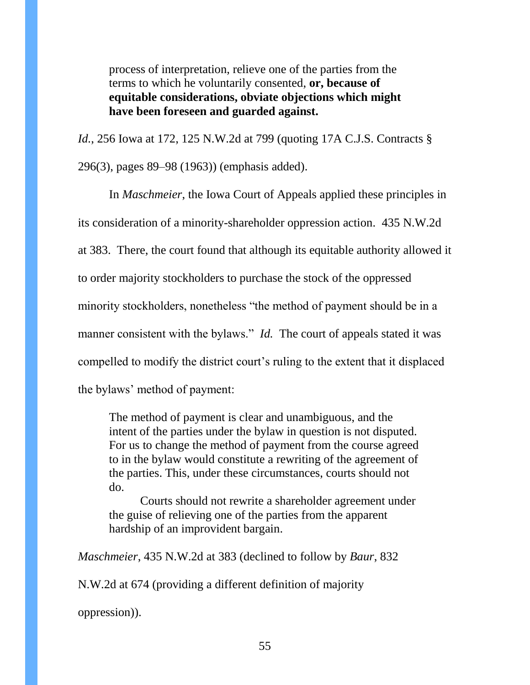process of interpretation, relieve one of the parties from the terms to which he voluntarily consented, **or, because of equitable considerations, obviate objections which might have been foreseen and guarded against.**

*Id.*, 256 Iowa at 172, 125 N.W.2d at 799 (quoting [17A C.J.S. Contracts](https://1.next.westlaw.com/Link/Document/FullText?findType=Y&serNum=0289515094&pubNum=0156372&originatingDoc=Ib628a800fe8a11d99439b076ef9ec4de&refType=TS&originationContext=document&transitionType=DocumentItem&contextData=(sc.Search)) § [296\(3\),](https://1.next.westlaw.com/Link/Document/FullText?findType=Y&serNum=0289515094&pubNum=0156372&originatingDoc=Ib628a800fe8a11d99439b076ef9ec4de&refType=TS&originationContext=document&transitionType=DocumentItem&contextData=(sc.Search)) pages 89–98 (1963)) (emphasis added).

In *Maschmeier*, the Iowa Court of Appeals applied these principles in its consideration of a minority-shareholder oppression action. 435 N.W.2d at 383. There, the court found that although its equitable authority allowed it to order majority stockholders to purchase the stock of the oppressed minority stockholders, nonetheless "the method of payment should be in a manner consistent with the bylaws." *Id.* The court of appeals stated it was compelled to modify the district court's ruling to the extent that it displaced the bylaws' method of payment:

The method of payment is clear and unambiguous, and the intent of the parties under the bylaw in question is not disputed. For us to change the method of payment from the course agreed to in the bylaw would constitute a rewriting of the agreement of the parties. This, under these circumstances, courts should not do.

Courts should not rewrite a shareholder agreement under the guise of relieving one of the parties from the apparent hardship of an improvident bargain.

*Maschmeier*, 435 N.W.2d at 383 (declined to follow by *Baur*, 832

N.W.2d at 674 (providing a different definition of majority

oppression)).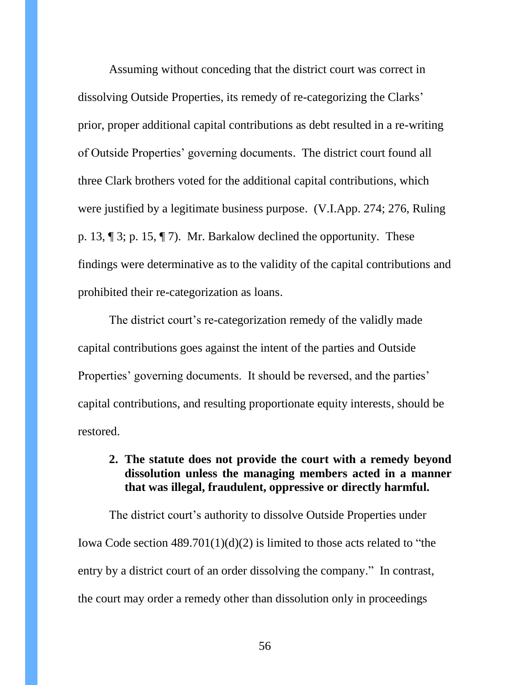Assuming without conceding that the district court was correct in dissolving Outside Properties, its remedy of re-categorizing the Clarks' prior, proper additional capital contributions as debt resulted in a re-writing of Outside Properties' governing documents. The district court found all three Clark brothers voted for the additional capital contributions, which were justified by a legitimate business purpose. (V.I.App. 274; 276, Ruling p. 13, ¶ 3; p. 15, ¶ 7). Mr. Barkalow declined the opportunity. These findings were determinative as to the validity of the capital contributions and prohibited their re-categorization as loans.

The district court's re-categorization remedy of the validly made capital contributions goes against the intent of the parties and Outside Properties' governing documents. It should be reversed, and the parties' capital contributions, and resulting proportionate equity interests, should be restored.

### <span id="page-55-0"></span>**2. The statute does not provide the court with a remedy beyond dissolution unless the managing members acted in a manner that was illegal, fraudulent, oppressive or directly harmful.**

The district court's authority to dissolve Outside Properties under Iowa Code section 489.701(1)(d)(2) is limited to those acts related to "the entry by a district court of an order dissolving the company." In contrast, the court may order a remedy other than dissolution only in proceedings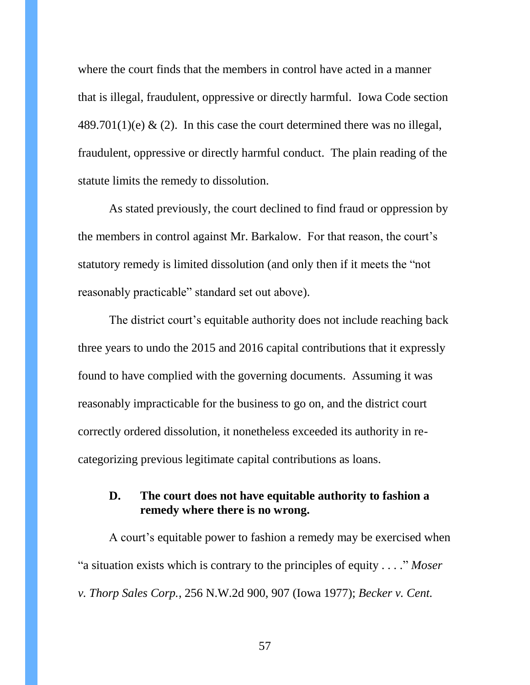where the court finds that the members in control have acted in a manner that is illegal, fraudulent, oppressive or directly harmful. Iowa Code section  $489.701(1)(e)$  & (2). In this case the court determined there was no illegal, fraudulent, oppressive or directly harmful conduct. The plain reading of the statute limits the remedy to dissolution.

As stated previously, the court declined to find fraud or oppression by the members in control against Mr. Barkalow. For that reason, the court's statutory remedy is limited dissolution (and only then if it meets the "not reasonably practicable" standard set out above).

The district court's equitable authority does not include reaching back three years to undo the 2015 and 2016 capital contributions that it expressly found to have complied with the governing documents. Assuming it was reasonably impracticable for the business to go on, and the district court correctly ordered dissolution, it nonetheless exceeded its authority in recategorizing previous legitimate capital contributions as loans.

### <span id="page-56-0"></span>**D. The court does not have equitable authority to fashion a remedy where there is no wrong.**

A court's equitable power to fashion a remedy may be exercised when "a situation exists which is contrary to the principles of equity . . . ." *Moser v. Thorp Sales Corp.*, 256 N.W.2d 900, 907 (Iowa 1977); *Becker v. Cent.*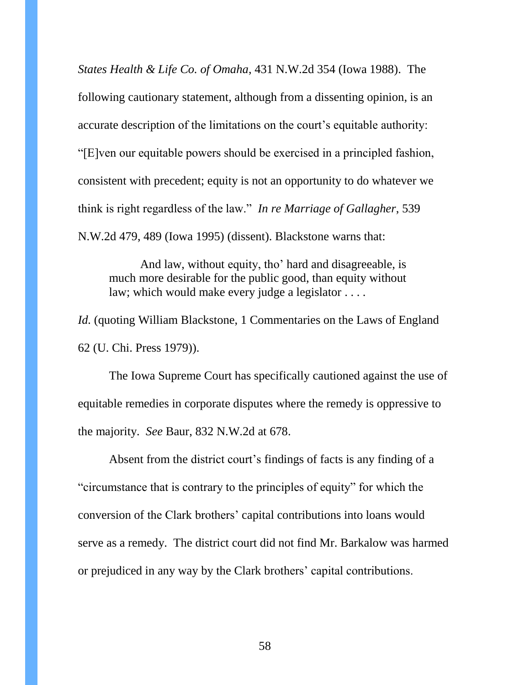*States Health & Life Co. of Omaha*, 431 N.W.2d 354 (Iowa 1988). The following cautionary statement, although from a dissenting opinion, is an accurate description of the limitations on the court's equitable authority: "[E]ven our equitable powers should be exercised in a principled fashion, consistent with precedent; equity is not an opportunity to do whatever we think is right regardless of the law." *In re Marriage of Gallagher*, 539 N.W.2d 479, 489 (Iowa 1995) (dissent). Blackstone warns that:

And law, without equity, tho' hard and disagreeable, is much more desirable for the public good, than equity without law; which would make every judge a legislator . . . .

*Id.* (quoting William Blackstone, 1 Commentaries on the Laws of England 62 (U. Chi. Press 1979)).

The Iowa Supreme Court has specifically cautioned against the use of equitable remedies in corporate disputes where the remedy is oppressive to the majority. *See* Baur, 832 N.W.2d at 678.

Absent from the district court's findings of facts is any finding of a "circumstance that is contrary to the principles of equity" for which the conversion of the Clark brothers' capital contributions into loans would serve as a remedy. The district court did not find Mr. Barkalow was harmed or prejudiced in any way by the Clark brothers' capital contributions.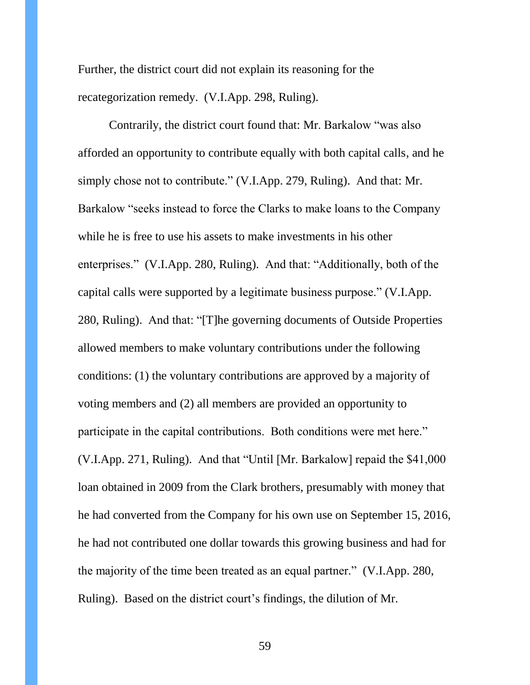Further, the district court did not explain its reasoning for the recategorization remedy. (V.I.App. 298, Ruling).

Contrarily, the district court found that: Mr. Barkalow "was also afforded an opportunity to contribute equally with both capital calls, and he simply chose not to contribute." (V.I.App. 279, Ruling). And that: Mr. Barkalow "seeks instead to force the Clarks to make loans to the Company while he is free to use his assets to make investments in his other enterprises." (V.I.App. 280, Ruling). And that: "Additionally, both of the capital calls were supported by a legitimate business purpose." (V.I.App. 280, Ruling). And that: "[T]he governing documents of Outside Properties allowed members to make voluntary contributions under the following conditions: (1) the voluntary contributions are approved by a majority of voting members and (2) all members are provided an opportunity to participate in the capital contributions. Both conditions were met here." (V.I.App. 271, Ruling). And that "Until [Mr. Barkalow] repaid the \$41,000 loan obtained in 2009 from the Clark brothers, presumably with money that he had converted from the Company for his own use on September 15, 2016, he had not contributed one dollar towards this growing business and had for the majority of the time been treated as an equal partner." (V.I.App. 280, Ruling). Based on the district court's findings, the dilution of Mr.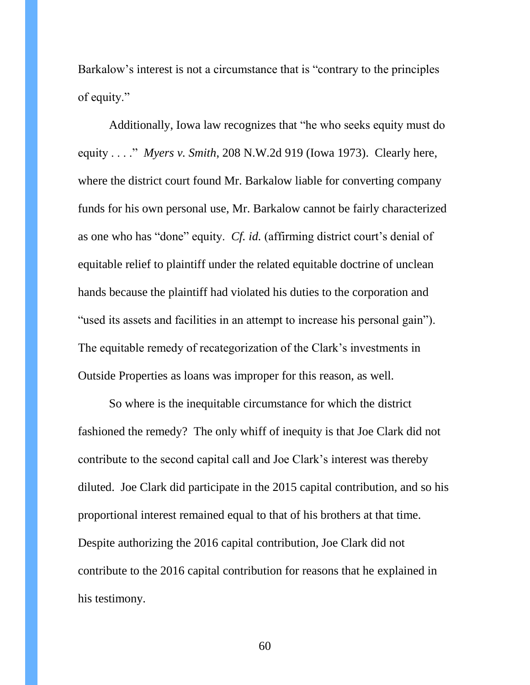Barkalow's interest is not a circumstance that is "contrary to the principles of equity."

Additionally, Iowa law recognizes that "he who seeks equity must do equity . . . ." *Myers v. Smith*, 208 N.W.2d 919 (Iowa 1973). Clearly here, where the district court found Mr. Barkalow liable for converting company funds for his own personal use, Mr. Barkalow cannot be fairly characterized as one who has "done" equity. *Cf. id.* (affirming district court's denial of equitable relief to plaintiff under the related equitable doctrine of unclean hands because the plaintiff had violated his duties to the corporation and "used its assets and facilities in an attempt to increase his personal gain"). The equitable remedy of recategorization of the Clark's investments in Outside Properties as loans was improper for this reason, as well.

So where is the inequitable circumstance for which the district fashioned the remedy? The only whiff of inequity is that Joe Clark did not contribute to the second capital call and Joe Clark's interest was thereby diluted. Joe Clark did participate in the 2015 capital contribution, and so his proportional interest remained equal to that of his brothers at that time. Despite authorizing the 2016 capital contribution, Joe Clark did not contribute to the 2016 capital contribution for reasons that he explained in his testimony.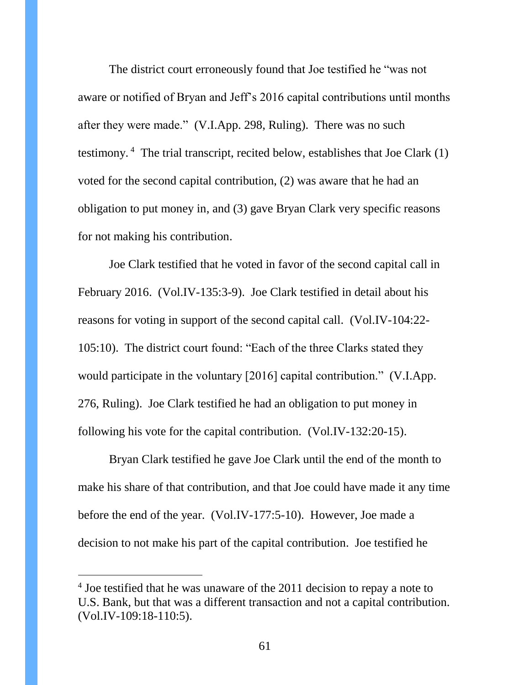The district court erroneously found that Joe testified he "was not aware or notified of Bryan and Jeff's 2016 capital contributions until months after they were made." (V.I.App. 298, Ruling). There was no such testimony. <sup>4</sup> The trial transcript, recited below, establishes that Joe Clark (1) voted for the second capital contribution, (2) was aware that he had an obligation to put money in, and (3) gave Bryan Clark very specific reasons for not making his contribution.

Joe Clark testified that he voted in favor of the second capital call in February 2016. (Vol.IV-135:3-9). Joe Clark testified in detail about his reasons for voting in support of the second capital call. (Vol.IV-104:22- 105:10). The district court found: "Each of the three Clarks stated they would participate in the voluntary [2016] capital contribution." (V.I.App. 276, Ruling). Joe Clark testified he had an obligation to put money in following his vote for the capital contribution. (Vol.IV-132:20-15).

Bryan Clark testified he gave Joe Clark until the end of the month to make his share of that contribution, and that Joe could have made it any time before the end of the year. (Vol.IV-177:5-10). However, Joe made a decision to not make his part of the capital contribution. Joe testified he

 $\overline{a}$ 

<sup>&</sup>lt;sup>4</sup> Joe testified that he was unaware of the 2011 decision to repay a note to U.S. Bank, but that was a different transaction and not a capital contribution. (Vol.IV-109:18-110:5).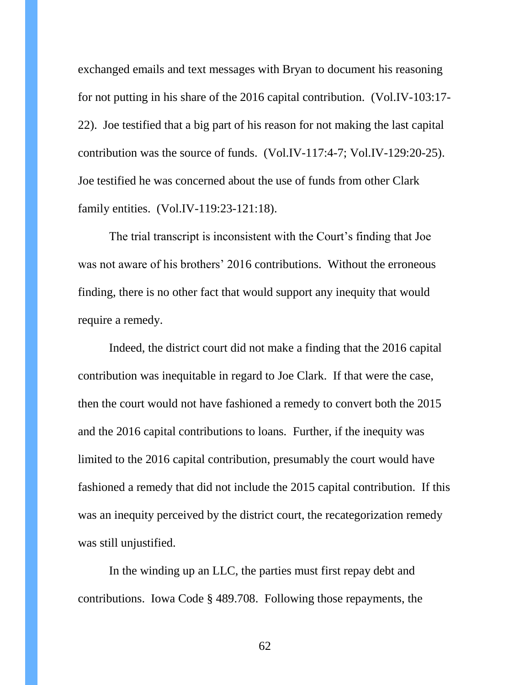exchanged emails and text messages with Bryan to document his reasoning for not putting in his share of the 2016 capital contribution. (Vol.IV-103:17- 22). Joe testified that a big part of his reason for not making the last capital contribution was the source of funds. (Vol.IV-117:4-7; Vol.IV-129:20-25). Joe testified he was concerned about the use of funds from other Clark family entities. (Vol.IV-119:23-121:18).

The trial transcript is inconsistent with the Court's finding that Joe was not aware of his brothers' 2016 contributions. Without the erroneous finding, there is no other fact that would support any inequity that would require a remedy.

Indeed, the district court did not make a finding that the 2016 capital contribution was inequitable in regard to Joe Clark. If that were the case, then the court would not have fashioned a remedy to convert both the 2015 and the 2016 capital contributions to loans. Further, if the inequity was limited to the 2016 capital contribution, presumably the court would have fashioned a remedy that did not include the 2015 capital contribution. If this was an inequity perceived by the district court, the recategorization remedy was still unjustified.

In the winding up an LLC, the parties must first repay debt and contributions. Iowa Code § 489.708. Following those repayments, the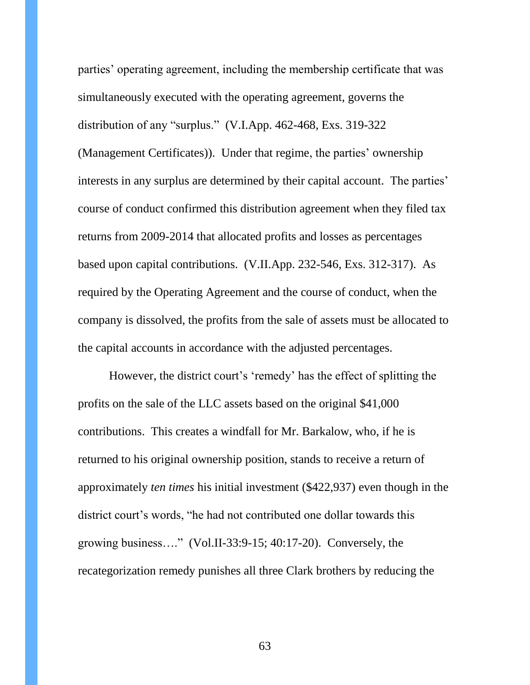parties' operating agreement, including the membership certificate that was simultaneously executed with the operating agreement, governs the distribution of any "surplus." (V.I.App. 462-468, Exs. 319-322 (Management Certificates)). Under that regime, the parties' ownership interests in any surplus are determined by their capital account. The parties' course of conduct confirmed this distribution agreement when they filed tax returns from 2009-2014 that allocated profits and losses as percentages based upon capital contributions. (V.II.App. 232-546, Exs. 312-317). As required by the Operating Agreement and the course of conduct, when the company is dissolved, the profits from the sale of assets must be allocated to the capital accounts in accordance with the adjusted percentages.

However, the district court's 'remedy' has the effect of splitting the profits on the sale of the LLC assets based on the original \$41,000 contributions. This creates a windfall for Mr. Barkalow, who, if he is returned to his original ownership position, stands to receive a return of approximately *ten times* his initial investment (\$422,937) even though in the district court's words, "he had not contributed one dollar towards this growing business…." (Vol.II-33:9-15; 40:17-20). Conversely, the recategorization remedy punishes all three Clark brothers by reducing the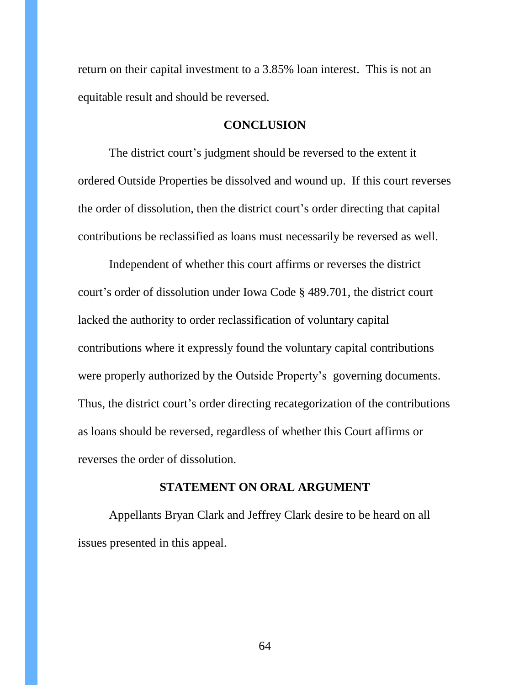return on their capital investment to a 3.85% loan interest. This is not an equitable result and should be reversed.

#### **CONCLUSION**

<span id="page-63-0"></span>The district court's judgment should be reversed to the extent it ordered Outside Properties be dissolved and wound up. If this court reverses the order of dissolution, then the district court's order directing that capital contributions be reclassified as loans must necessarily be reversed as well.

Independent of whether this court affirms or reverses the district court's order of dissolution under Iowa Code § 489.701, the district court lacked the authority to order reclassification of voluntary capital contributions where it expressly found the voluntary capital contributions were properly authorized by the Outside Property's governing documents. Thus, the district court's order directing recategorization of the contributions as loans should be reversed, regardless of whether this Court affirms or reverses the order of dissolution.

#### **STATEMENT ON ORAL ARGUMENT**

<span id="page-63-1"></span>Appellants Bryan Clark and Jeffrey Clark desire to be heard on all issues presented in this appeal.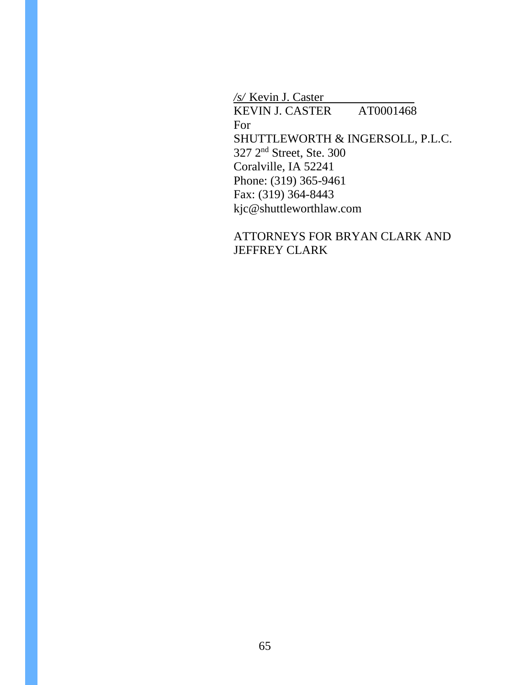*/s/* Kevin J. Caster KEVIN J. CASTER AT0001468 For SHUTTLEWORTH & INGERSOLL, P.L.C. 327 2<sup>nd</sup> Street, Ste. 300 Coralville, IA 52241 Phone: (319) 365-9461 Fax: (319) 364-8443 kjc@shuttleworthlaw.com

## ATTORNEYS FOR BRYAN CLARK AND JEFFREY CLARK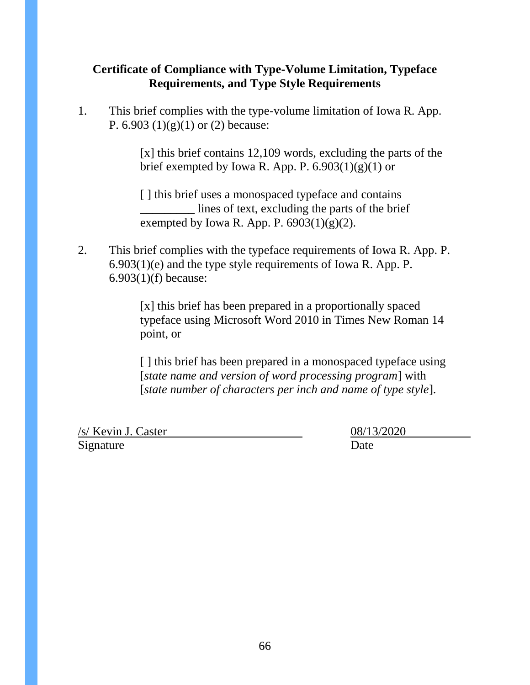## <span id="page-65-0"></span>**Certificate of Compliance with Type-Volume Limitation, Typeface Requirements, and Type Style Requirements**

1. This brief complies with the type-volume limitation of Iowa R. App. P.  $6.903(1)(g)(1)$  or  $(2)$  because:

> [x] this brief contains 12,109 words, excluding the parts of the brief exempted by Iowa R. App. P.  $6.903(1)(g)(1)$  or

[ ] this brief uses a monospaced typeface and contains \_\_\_\_\_\_\_\_\_ lines of text, excluding the parts of the brief exempted by Iowa R. App. P.  $6903(1)(g)(2)$ .

2. This brief complies with the typeface requirements of Iowa R. App. P. 6.903(1)(e) and the type style requirements of Iowa R. App. P. 6.903(1)(f) because:

> [x] this brief has been prepared in a proportionally spaced typeface using Microsoft Word 2010 in Times New Roman 14 point, or

> [] this brief has been prepared in a monospaced typeface using [*state name and version of word processing program*] with [*state number of characters per inch and name of type style*].

/s/ Kevin J. Caster 08/13/2020 Signature Date